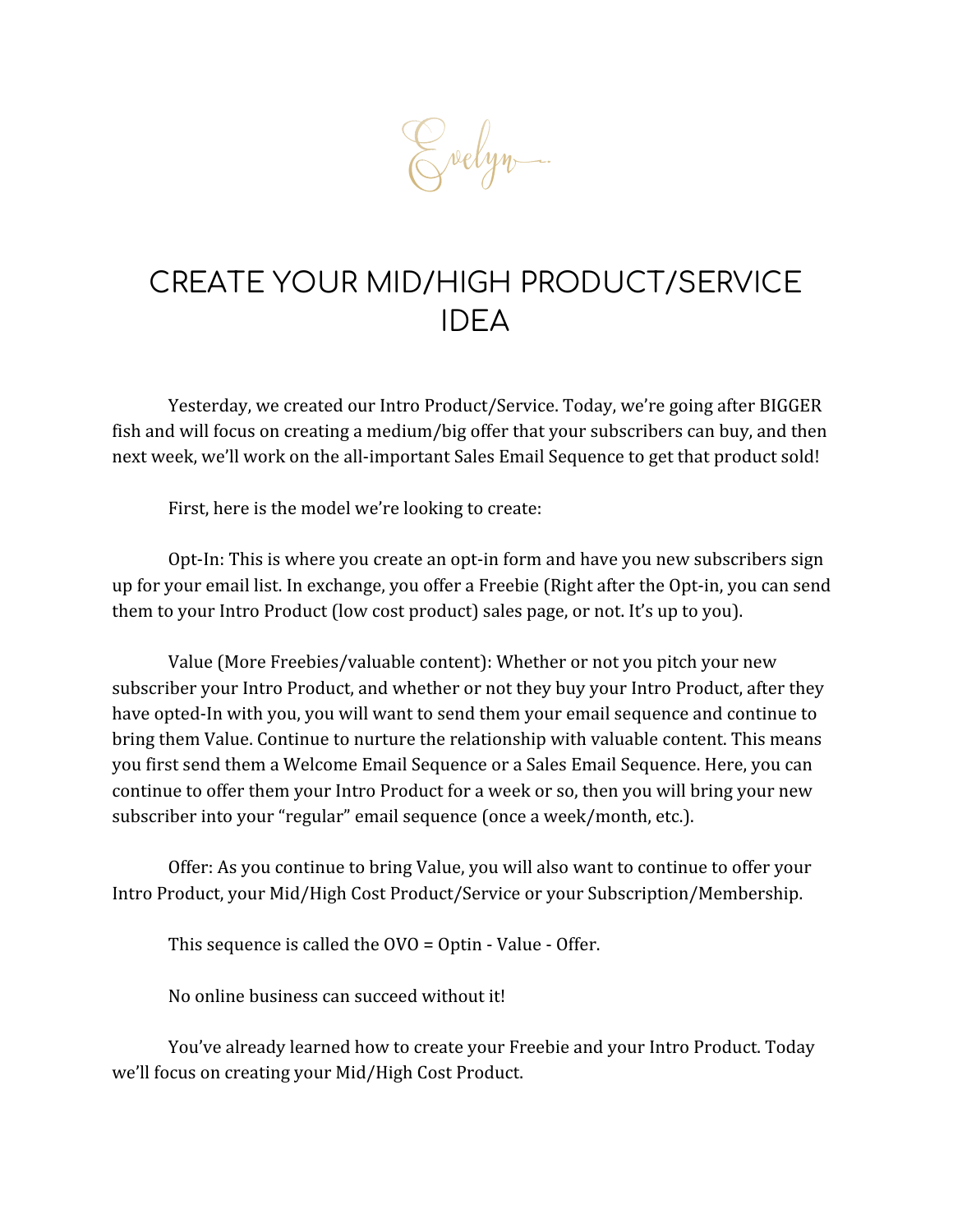

# CREATE YOUR MID/HIGH PRODUCT/SERVICE IDEA

Yesterday, we created our Intro Product/Service. Today, we're going after BIGGER fish and will focus on creating a medium/big offer that your subscribers can buy, and then next week, we'll work on the all-important Sales Email Sequence to get that product sold!

First, here is the model we're looking to create:

Opt-In: This is where you create an opt-in form and have you new subscribers sign up for your email list. In exchange, you offer a Freebie (Right after the Opt-in, you can send them to your Intro Product (low cost product) sales page, or not. It's up to you).

Value (More Freebies/valuable content): Whether or not you pitch your new subscriber your Intro Product, and whether or not they buy your Intro Product, after they have opted-In with you, you will want to send them your email sequence and continue to bring them Value. Continue to nurture the relationship with valuable content. This means you first send them a Welcome Email Sequence or a Sales Email Sequence. Here, you can continue to offer them your Intro Product for a week or so, then you will bring your new subscriber into your "regular" email sequence (once a week/month, etc.).

Offer: As you continue to bring Value, you will also want to continue to offer your Intro Product, your Mid/High Cost Product/Service or your Subscription/Membership.

This sequence is called the OVO = Optin - Value - Offer.

No online business can succeed without it!

You've already learned how to create your Freebie and your Intro Product. Today we'll focus on creating your Mid/High Cost Product.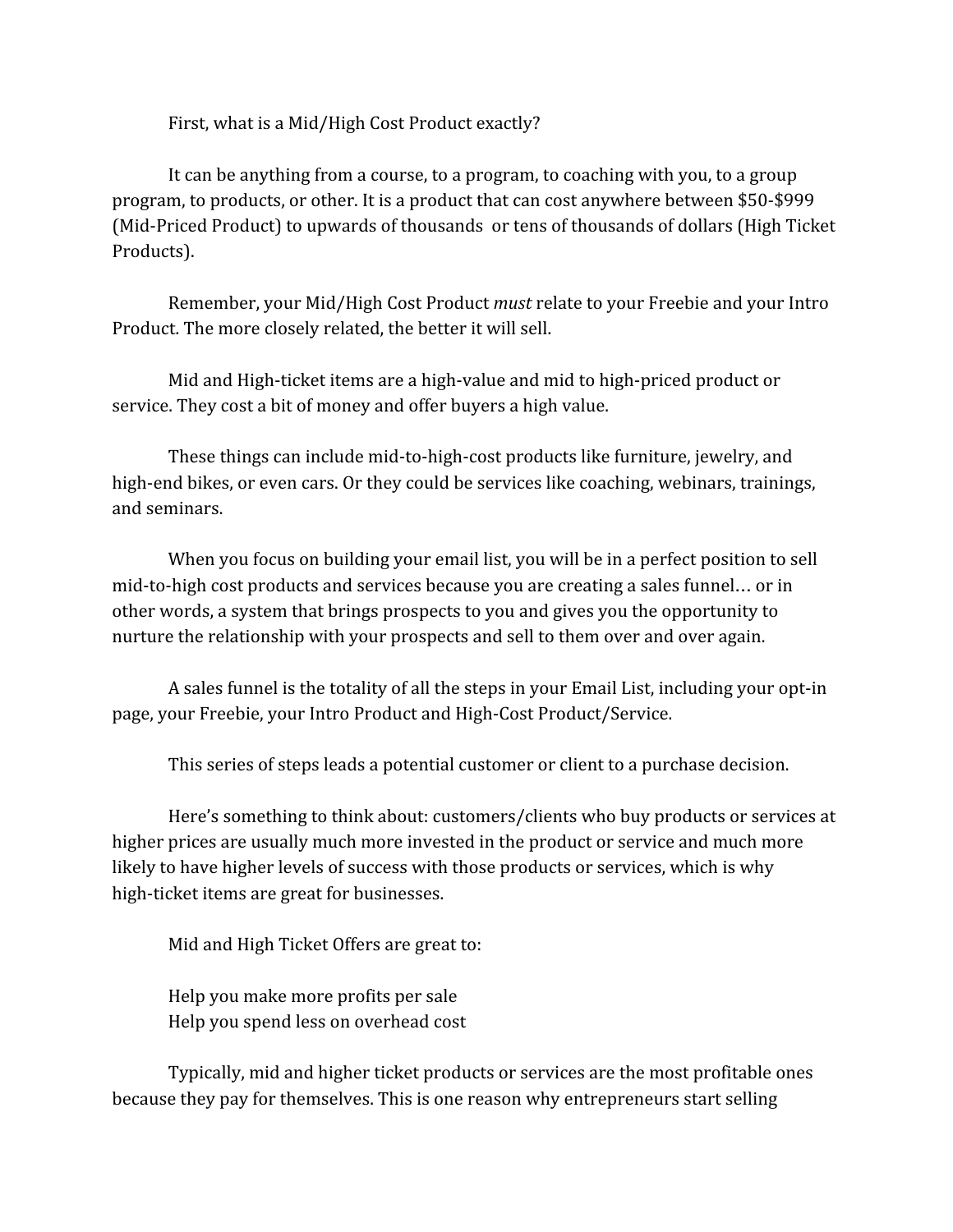First, what is a Mid/High Cost Product exactly?

It can be anything from a course, to a program, to coaching with you, to a group program, to products, or other. It is a product that can cost anywhere between \$50-\$999 (Mid-Priced Product) to upwards of thousands or tens of thousands of dollars (High Ticket Products).

Remember, your Mid/High Cost Product *must* relate to your Freebie and your Intro Product. The more closely related, the better it will sell.

Mid and High-ticket items are a high-value and mid to high-priced product or service. They cost a bit of money and offer buyers a high value.

These things can include mid-to-high-cost products like furniture, jewelry, and high-end bikes, or even cars. Or they could be services like coaching, webinars, trainings, and seminars.

When you focus on building your email list, you will be in a perfect position to sell mid-to-high cost products and services because you are creating a sales funnel… or in other words, a system that brings prospects to you and gives you the opportunity to nurture the relationship with your prospects and sell to them over and over again.

A sales funnel is the totality of all the steps in your Email List, including your opt-in page, your Freebie, your Intro Product and High-Cost Product/Service.

This series of steps leads a potential customer or client to a purchase decision.

Here's something to think about: customers/clients who buy products or services at higher prices are usually much more invested in the product or service and much more likely to have higher levels of success with those products or services, which is why high-ticket items are great for businesses.

Mid and High Ticket Offers are great to:

Help you make more profits per sale Help you spend less on overhead cost

Typically, mid and higher ticket products or services are the most profitable ones because they pay for themselves. This is one reason why entrepreneurs start selling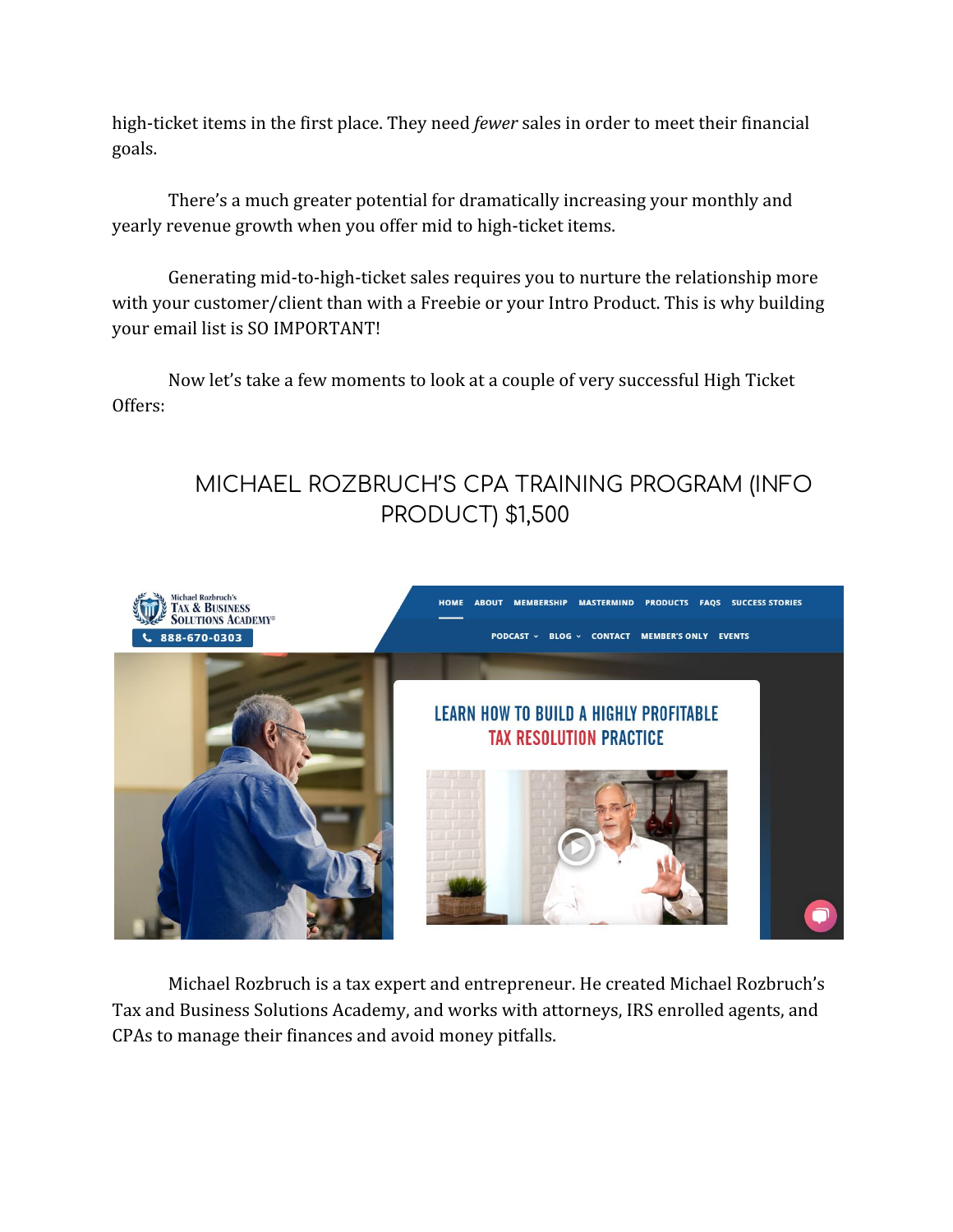high-ticket items in the first place. They need *fewer* sales in order to meet their financial goals.

There's a much greater potential for dramatically increasing your monthly and yearly revenue growth when you offer mid to high-ticket items.

Generating mid-to-high-ticket sales requires you to nurture the relationship more with your customer/client than with a Freebie or your Intro Product. This is why building your email list is SO IMPORTANT!

Now let's take a few moments to look at a couple of very successful High Ticket Offers:

# MICHAEL ROZBRUCH'S CPA TRAINING PROGRAM (INFO PRODUCT) \$1,500



Michael Rozbruch is a tax expert and entrepreneur. He created Michael Rozbruch's Tax and Business Solutions Academy, and works with attorneys, IRS enrolled agents, and CPAs to manage their finances and avoid money pitfalls.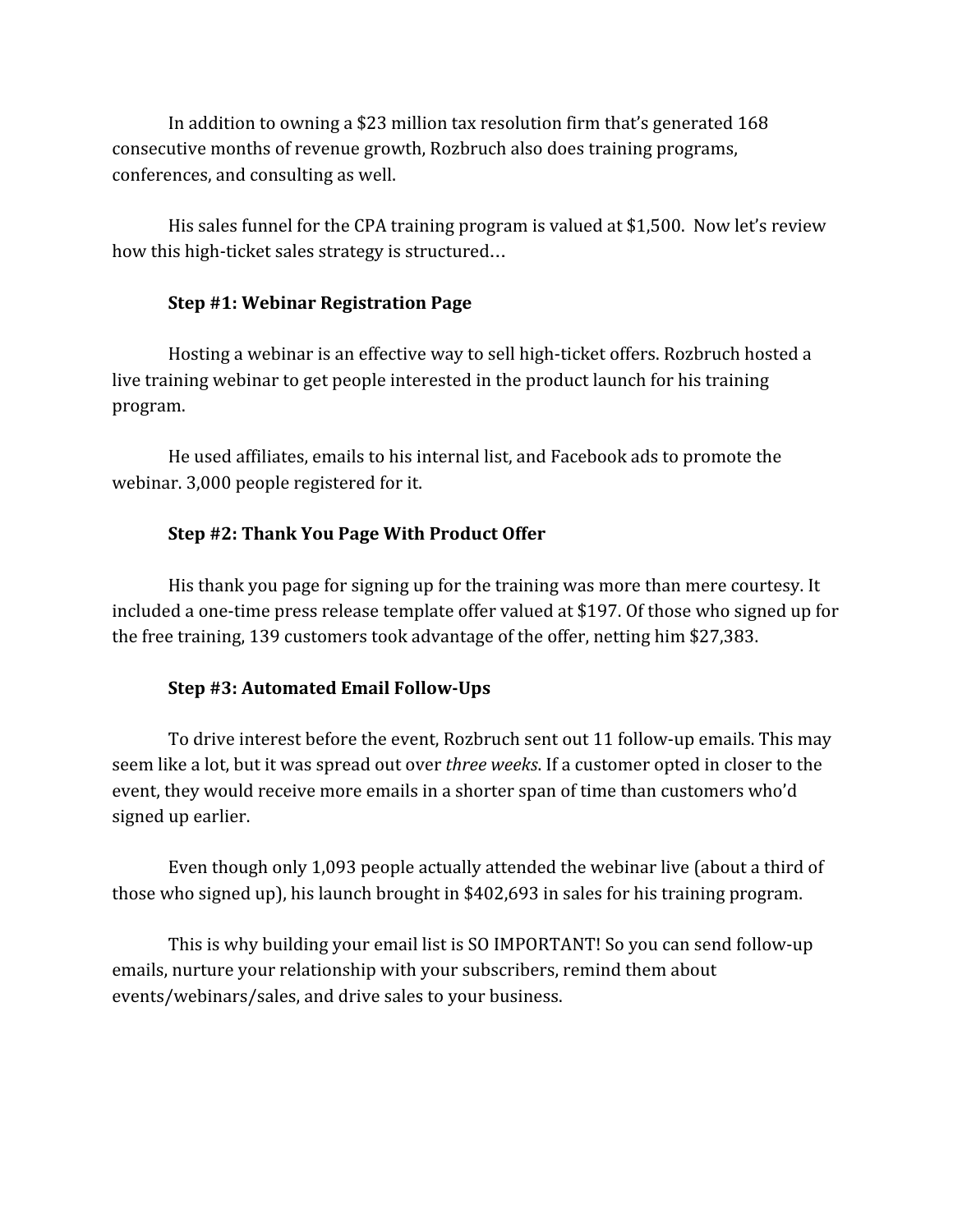In addition to owning a \$23 million tax resolution firm that's generated 168 consecutive months of revenue growth, Rozbruch also does training programs, conferences, and consulting as well.

His sales funnel for the CPA training program is valued at \$1,500. Now let's review how this high-ticket sales strategy is structured…

#### **Step #1: Webinar Registration Page**

Hosting a webinar is an effective way to sell high-ticket offers. Rozbruch hosted a live training webinar to get people interested in the product launch for his training program.

He used affiliates, emails to his internal list, and Facebook ads to promote the webinar. 3,000 people registered for it.

## **Step #2: Thank You Page With Product Offer**

His thank you page for signing up for the training was more than mere courtesy. It included a one-time press release template offer valued at \$197. Of those who signed up for the free training, 139 customers took advantage of the offer, netting him \$27,383.

#### **Step #3: Automated Email Follow-Ups**

To drive interest before the event, Rozbruch sent out 11 follow-up emails. This may seem like a lot, but it was spread out over *three weeks*. If a customer opted in closer to the event, they would receive more emails in a shorter span of time than customers who'd signed up earlier.

Even though only 1,093 people actually attended the webinar live (about a third of those who signed up), his launch brought in \$402,693 in sales for his training program.

This is why building your email list is SO IMPORTANT! So you can send follow-up emails, nurture your relationship with your subscribers, remind them about events/webinars/sales, and drive sales to your business.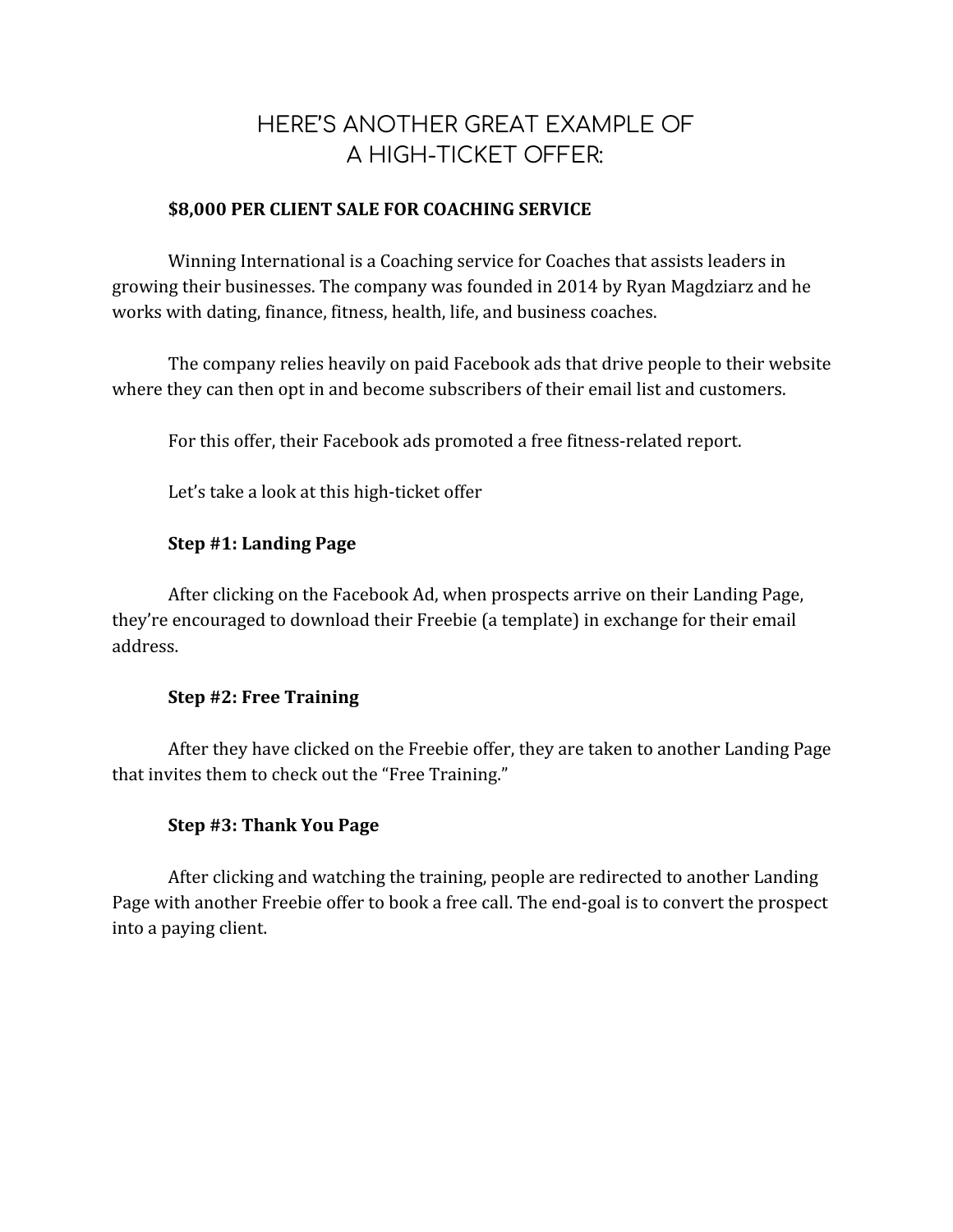# HERE'S ANOTHER GREAT EXAMPLE OF A HIGH-TICKET OFFER:

#### **\$8,000 PER CLIENT SALE FOR COACHING SERVICE**

Winning International is a Coaching service for Coaches that assists leaders in growing their businesses. The company was founded in 2014 by Ryan Magdziarz and he works with dating, finance, fitness, health, life, and business coaches.

The company relies heavily on paid Facebook ads that drive people to their website where they can then opt in and become subscribers of their email list and customers.

For this offer, their Facebook ads promoted a free fitness-related report.

Let's take a look at this high-ticket offer

## **Step #1: Landing Page**

After clicking on the Facebook Ad, when prospects arrive on their Landing Page, they're encouraged to download their Freebie (a template) in exchange for their email address.

## **Step #2: Free Training**

After they have clicked on the Freebie offer, they are taken to another Landing Page that invites them to check out the "Free Training."

## **Step #3: Thank You Page**

After clicking and watching the training, people are redirected to another Landing Page with another Freebie offer to book a free call. The end-goal is to convert the prospect into a paying client.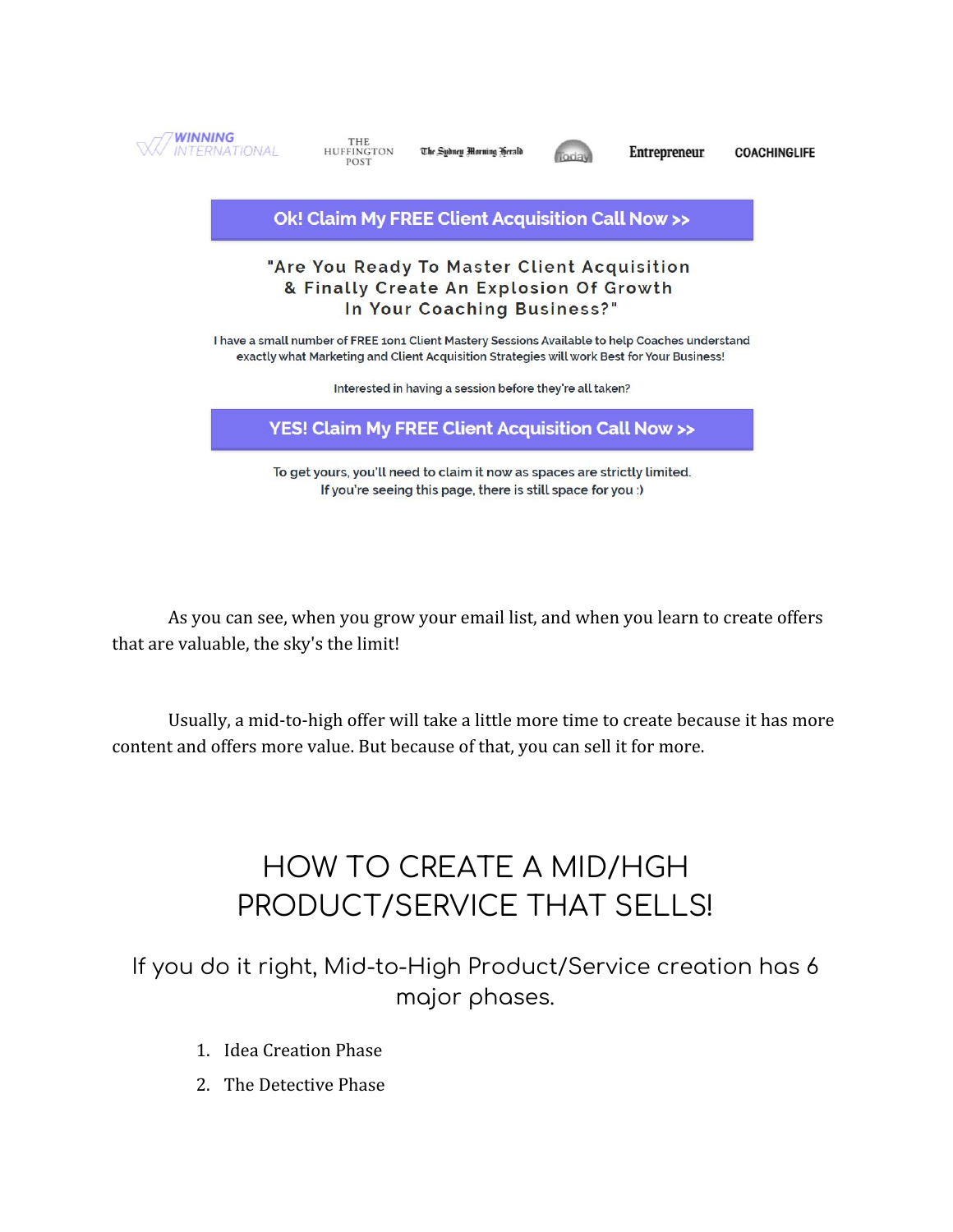

THE **HUFFINGTON** POST

The Sydney Morning Herald

**Ok! Claim My FREE Client Acquisition Call Now >>** 

#### "Are You Ready To Master Client Acquisition & Finally Create An Explosion Of Growth In Your Coaching Business?"

I have a small number of FREE 10n1 Client Mastery Sessions Available to help Coaches understand exactly what Marketing and Client Acquisition Strategies will work Best for Your Business!

Interested in having a session before they're all taken?

**YES! Claim My FREE Client Acquisition Call Now >>** 

To get yours, you'll need to claim it now as spaces are strictly limited. If you're seeing this page, there is still space for you :)

As you can see, when you grow your email list, and when you learn to create offers that are valuable, the sky's the limit!

Usually, a mid-to-high offer will take a little more time to create because it has more content and offers more value. But because of that, you can sell it for more.

# HOW TO CREATE A MID/HGH PRODUCT/SERVICE THAT SELLS!

If you do it right, Mid-to-High Product/Service creation has 6 major phases.

- 1. Idea Creation Phase
- 2. The Detective Phase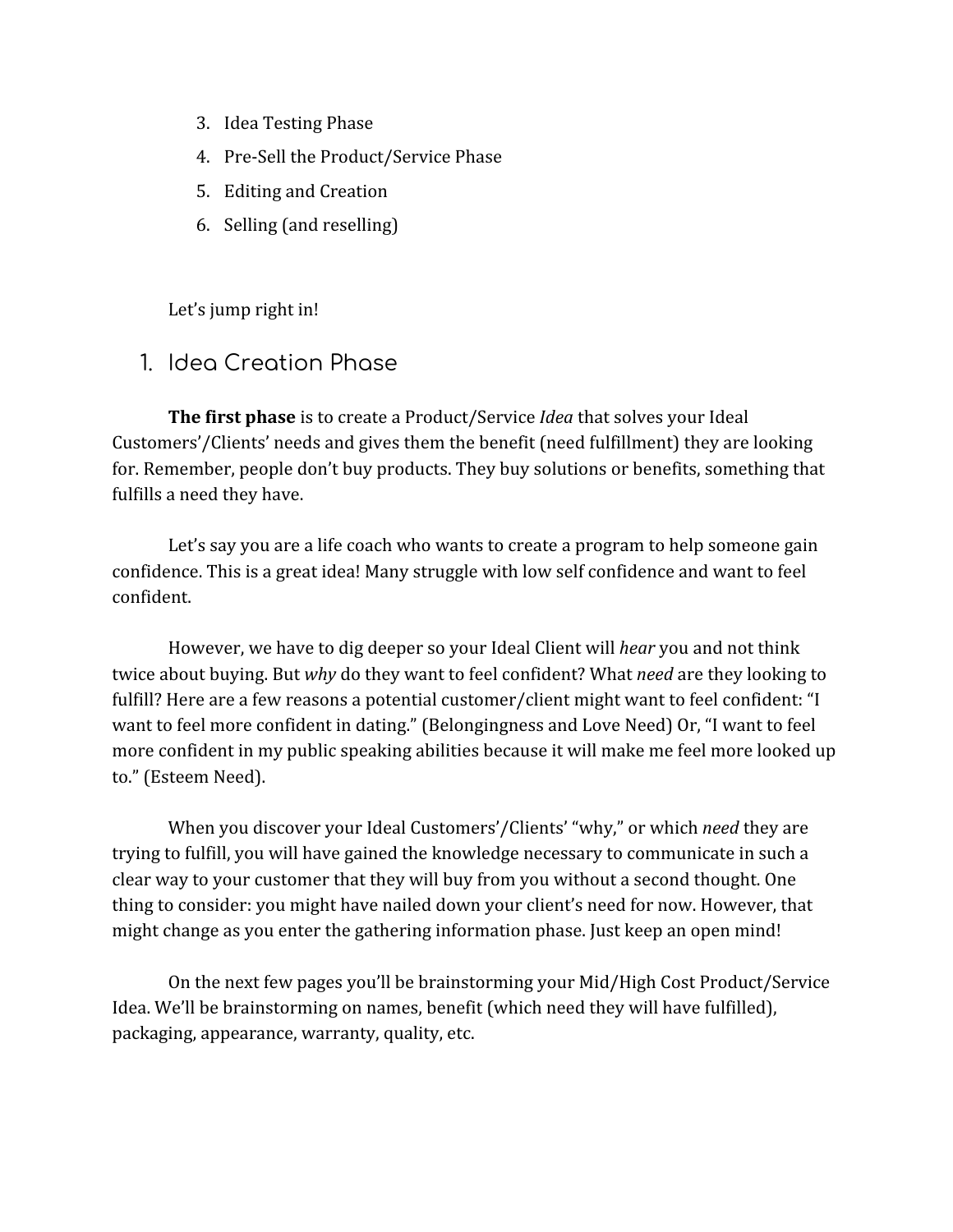- 3. Idea Testing Phase
- 4. Pre-Sell the Product/Service Phase
- 5. Editing and Creation
- 6. Selling (and reselling)

Let's jump right in!

1. Idea Creation Phase

**The first phase** is to create a Product/Service *Idea* that solves your Ideal Customers'/Clients' needs and gives them the benefit (need fulfillment) they are looking for. Remember, people don't buy products. They buy solutions or benefits, something that fulfills a need they have.

Let's say you are a life coach who wants to create a program to help someone gain confidence. This is a great idea! Many struggle with low self confidence and want to feel confident.

However, we have to dig deeper so your Ideal Client will *hear* you and not think twice about buying. But *why* do they want to feel confident? What *need* are they looking to fulfill? Here are a few reasons a potential customer/client might want to feel confident: "I want to feel more confident in dating." (Belongingness and Love Need) Or, "I want to feel more confident in my public speaking abilities because it will make me feel more looked up to." (Esteem Need).

When you discover your Ideal Customers'/Clients' "why," or which *need* they are trying to fulfill, you will have gained the knowledge necessary to communicate in such a clear way to your customer that they will buy from you without a second thought. One thing to consider: you might have nailed down your client's need for now. However, that might change as you enter the gathering information phase. Just keep an open mind!

On the next few pages you'll be brainstorming your Mid/High Cost Product/Service Idea. We'll be brainstorming on names, benefit (which need they will have fulfilled), packaging, appearance, warranty, quality, etc.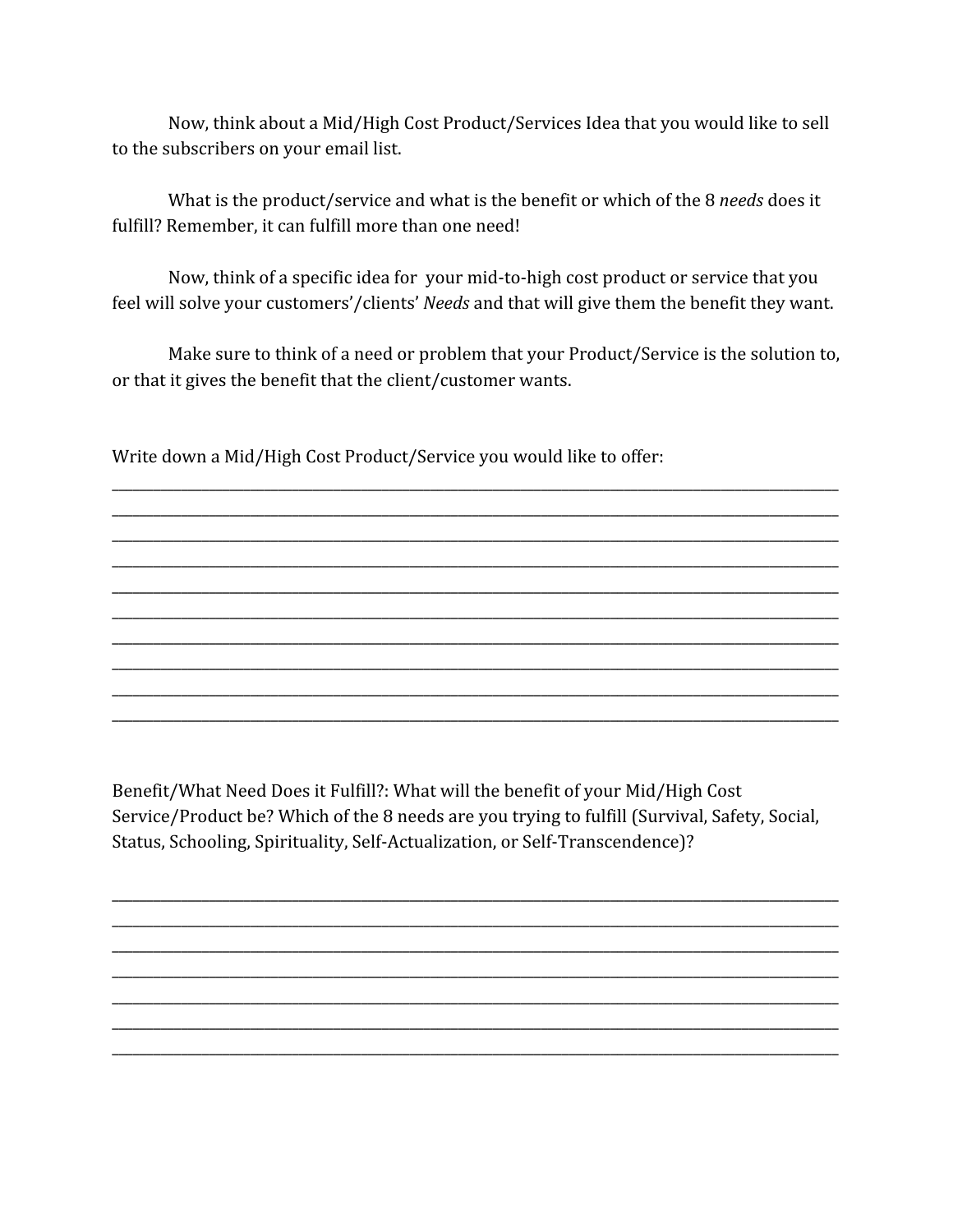Now, think about a Mid/High Cost Product/Services Idea that you would like to sell to the subscribers on your email list.

What is the product/service and what is the benefit or which of the 8 needs does it fulfill? Remember, it can fulfill more than one need!

Now, think of a specific idea for your mid-to-high cost product or service that you feel will solve your customers'/clients' Needs and that will give them the benefit they want.

Make sure to think of a need or problem that your Product/Service is the solution to, or that it gives the benefit that the client/customer wants.

Write down a Mid/High Cost Product/Service you would like to offer:

Benefit/What Need Does it Fulfill?: What will the benefit of your Mid/High Cost Service/Product be? Which of the 8 needs are you trying to fulfill (Survival, Safety, Social, Status, Schooling, Spirituality, Self-Actualization, or Self-Transcendence)?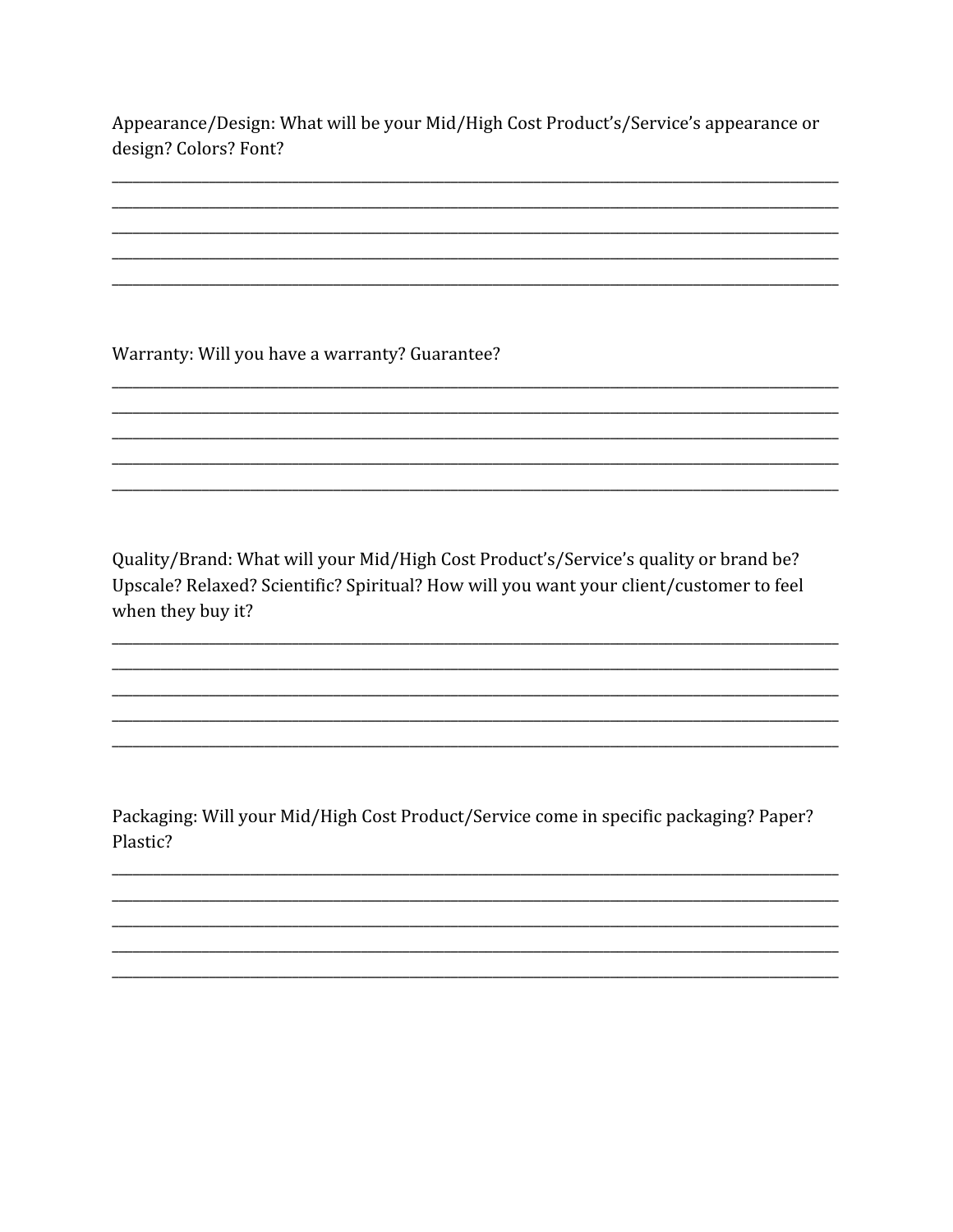Appearance/Design: What will be your Mid/High Cost Product's/Service's appearance or design? Colors? Font?

Warranty: Will you have a warranty? Guarantee?

Quality/Brand: What will your Mid/High Cost Product's/Service's quality or brand be? Upscale? Relaxed? Scientific? Spiritual? How will you want your client/customer to feel when they buy it?

Packaging: Will your Mid/High Cost Product/Service come in specific packaging? Paper? Plastic?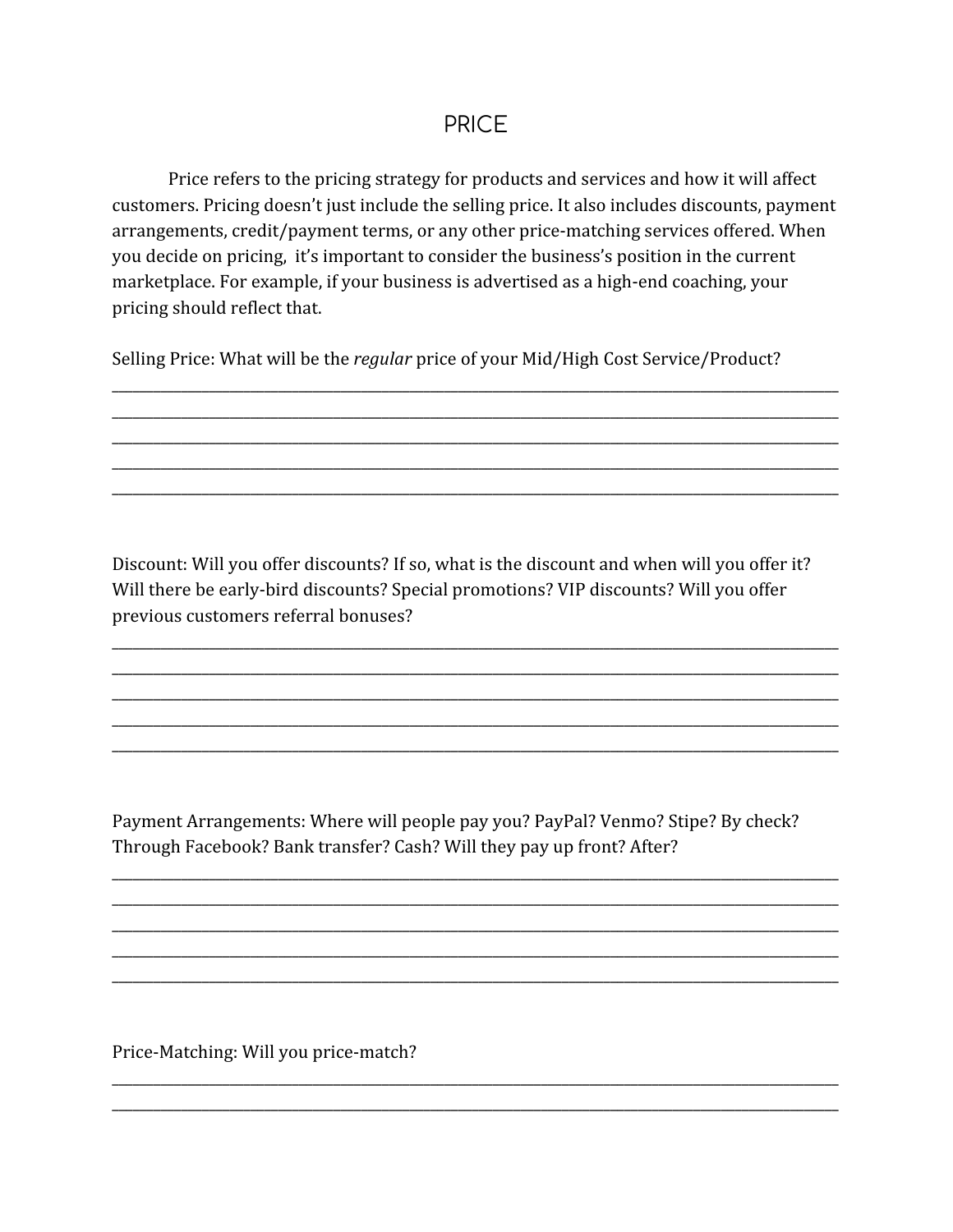## **PRICE**

Price refers to the pricing strategy for products and services and how it will affect customers. Pricing doesn't just include the selling price. It also includes discounts, payment arrangements, credit/payment terms, or any other price-matching services offered. When you decide on pricing, it's important to consider the business's position in the current marketplace. For example, if your business is advertised as a high-end coaching, your pricing should reflect that.

Selling Price: What will be the regular price of your Mid/High Cost Service/Product?

Discount: Will you offer discounts? If so, what is the discount and when will you offer it? Will there be early-bird discounts? Special promotions? VIP discounts? Will you offer previous customers referral bonuses?

Payment Arrangements: Where will people pay you? PayPal? Venmo? Stipe? By check? Through Facebook? Bank transfer? Cash? Will they pay up front? After?

Price-Matching: Will you price-match?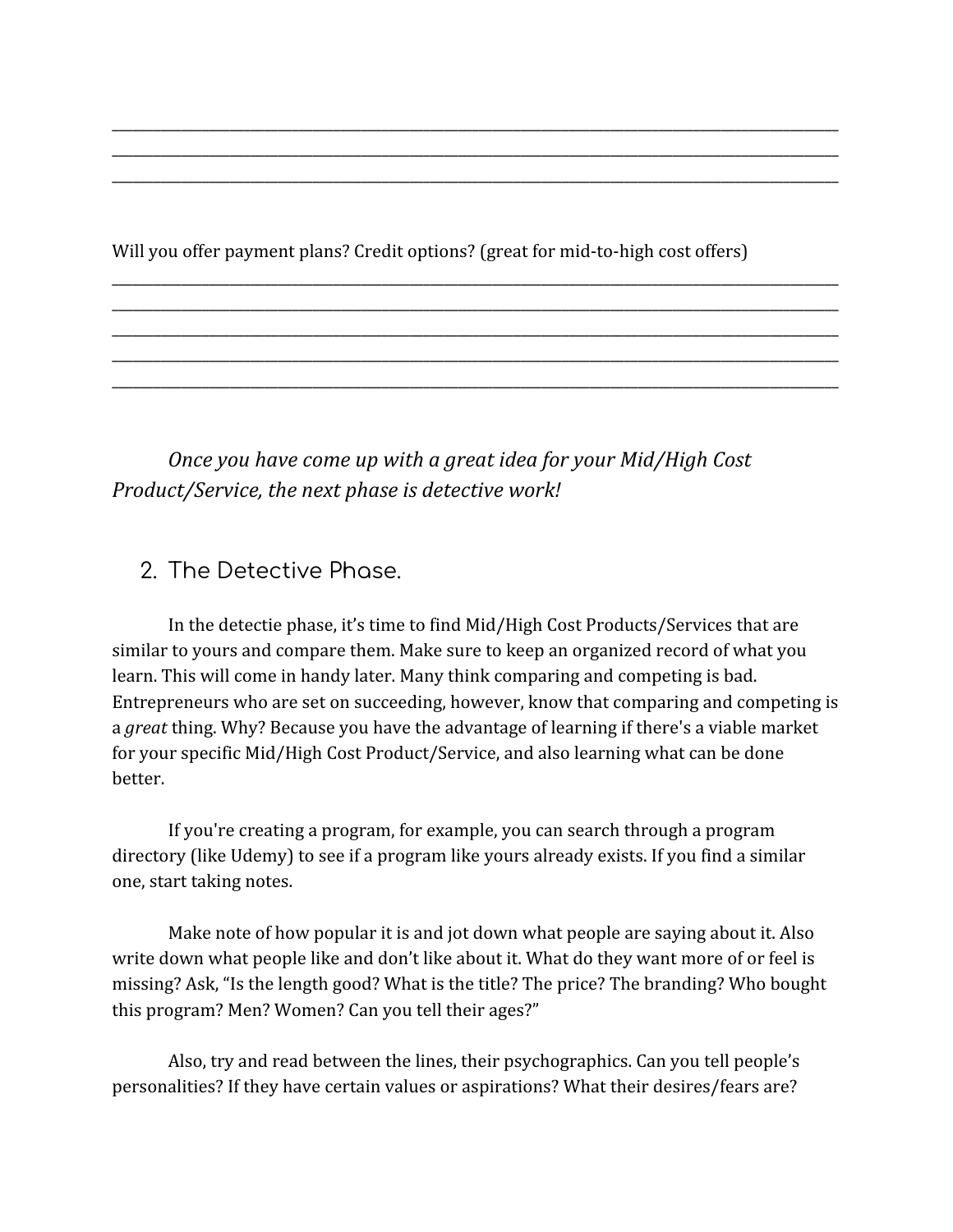Will you offer payment plans? Credit options? (great for mid-to-high cost offers)

\_\_\_\_\_\_\_\_\_\_\_\_\_\_\_\_\_\_\_\_\_\_\_\_\_\_\_\_\_\_\_\_\_\_\_\_\_\_\_\_\_\_\_\_\_\_\_\_\_\_\_\_\_\_\_\_\_\_\_\_\_\_\_\_\_\_\_\_\_\_\_\_\_\_\_\_\_\_\_\_\_\_\_\_\_\_\_\_\_\_\_\_\_\_\_\_\_\_\_\_\_\_\_\_\_ \_\_\_\_\_\_\_\_\_\_\_\_\_\_\_\_\_\_\_\_\_\_\_\_\_\_\_\_\_\_\_\_\_\_\_\_\_\_\_\_\_\_\_\_\_\_\_\_\_\_\_\_\_\_\_\_\_\_\_\_\_\_\_\_\_\_\_\_\_\_\_\_\_\_\_\_\_\_\_\_\_\_\_\_\_\_\_\_\_\_\_\_\_\_\_\_\_\_\_\_\_\_\_\_\_ \_\_\_\_\_\_\_\_\_\_\_\_\_\_\_\_\_\_\_\_\_\_\_\_\_\_\_\_\_\_\_\_\_\_\_\_\_\_\_\_\_\_\_\_\_\_\_\_\_\_\_\_\_\_\_\_\_\_\_\_\_\_\_\_\_\_\_\_\_\_\_\_\_\_\_\_\_\_\_\_\_\_\_\_\_\_\_\_\_\_\_\_\_\_\_\_\_\_\_\_\_\_\_\_\_

\_\_\_\_\_\_\_\_\_\_\_\_\_\_\_\_\_\_\_\_\_\_\_\_\_\_\_\_\_\_\_\_\_\_\_\_\_\_\_\_\_\_\_\_\_\_\_\_\_\_\_\_\_\_\_\_\_\_\_\_\_\_\_\_\_\_\_\_\_\_\_\_\_\_\_\_\_\_\_\_\_\_\_\_\_\_\_\_\_\_\_\_\_\_\_\_\_\_\_\_\_\_\_\_\_ \_\_\_\_\_\_\_\_\_\_\_\_\_\_\_\_\_\_\_\_\_\_\_\_\_\_\_\_\_\_\_\_\_\_\_\_\_\_\_\_\_\_\_\_\_\_\_\_\_\_\_\_\_\_\_\_\_\_\_\_\_\_\_\_\_\_\_\_\_\_\_\_\_\_\_\_\_\_\_\_\_\_\_\_\_\_\_\_\_\_\_\_\_\_\_\_\_\_\_\_\_\_\_\_\_ \_\_\_\_\_\_\_\_\_\_\_\_\_\_\_\_\_\_\_\_\_\_\_\_\_\_\_\_\_\_\_\_\_\_\_\_\_\_\_\_\_\_\_\_\_\_\_\_\_\_\_\_\_\_\_\_\_\_\_\_\_\_\_\_\_\_\_\_\_\_\_\_\_\_\_\_\_\_\_\_\_\_\_\_\_\_\_\_\_\_\_\_\_\_\_\_\_\_\_\_\_\_\_\_\_ \_\_\_\_\_\_\_\_\_\_\_\_\_\_\_\_\_\_\_\_\_\_\_\_\_\_\_\_\_\_\_\_\_\_\_\_\_\_\_\_\_\_\_\_\_\_\_\_\_\_\_\_\_\_\_\_\_\_\_\_\_\_\_\_\_\_\_\_\_\_\_\_\_\_\_\_\_\_\_\_\_\_\_\_\_\_\_\_\_\_\_\_\_\_\_\_\_\_\_\_\_\_\_\_\_ \_\_\_\_\_\_\_\_\_\_\_\_\_\_\_\_\_\_\_\_\_\_\_\_\_\_\_\_\_\_\_\_\_\_\_\_\_\_\_\_\_\_\_\_\_\_\_\_\_\_\_\_\_\_\_\_\_\_\_\_\_\_\_\_\_\_\_\_\_\_\_\_\_\_\_\_\_\_\_\_\_\_\_\_\_\_\_\_\_\_\_\_\_\_\_\_\_\_\_\_\_\_\_\_\_

*Once you have come up with a great idea for your Mid/High Cost Product/Service, the next phase is detective work!*

## 2. The Detective Phase.

In the detectie phase, it's time to find Mid/High Cost Products/Services that are similar to yours and compare them. Make sure to keep an organized record of what you learn. This will come in handy later. Many think comparing and competing is bad. Entrepreneurs who are set on succeeding, however, know that comparing and competing is a *great* thing. Why? Because you have the advantage of learning if there's a viable market for your specific Mid/High Cost Product/Service, and also learning what can be done better.

If you're creating a program, for example, you can search through a program directory (like Udemy) to see if a program like yours already exists. If you find a similar one, start taking notes.

Make note of how popular it is and jot down what people are saying about it. Also write down what people like and don't like about it. What do they want more of or feel is missing? Ask, "Is the length good? What is the title? The price? The branding? Who bought this program? Men? Women? Can you tell their ages?"

Also, try and read between the lines, their psychographics. Can you tell people's personalities? If they have certain values or aspirations? What their desires/fears are?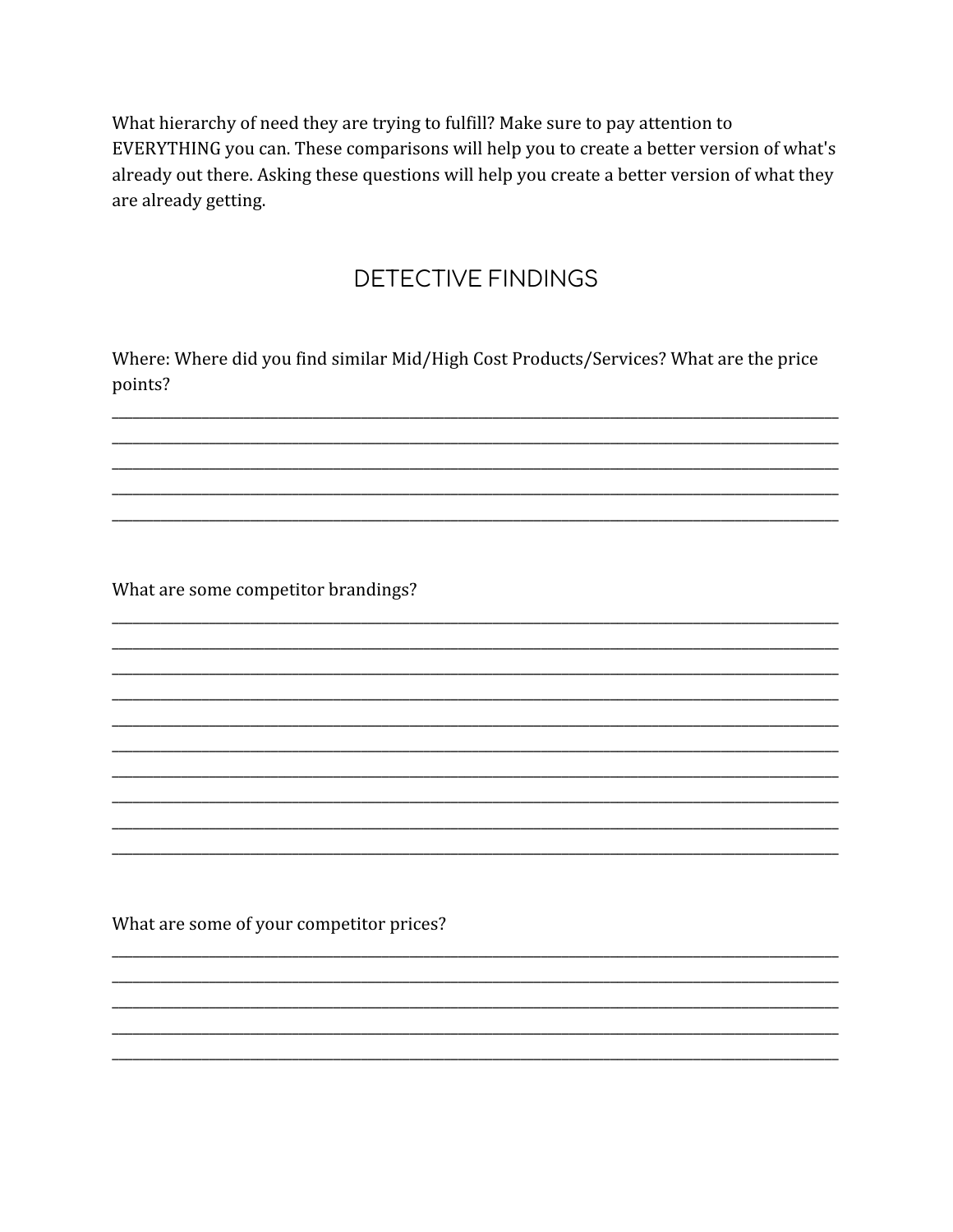What hierarchy of need they are trying to fulfill? Make sure to pay attention to EVERYTHING you can. These comparisons will help you to create a better version of what's already out there. Asking these questions will help you create a better version of what they are already getting.

# **DETECTIVE FINDINGS**

Where: Where did you find similar Mid/High Cost Products/Services? What are the price points?

What are some competitor brandings?

What are some of your competitor prices?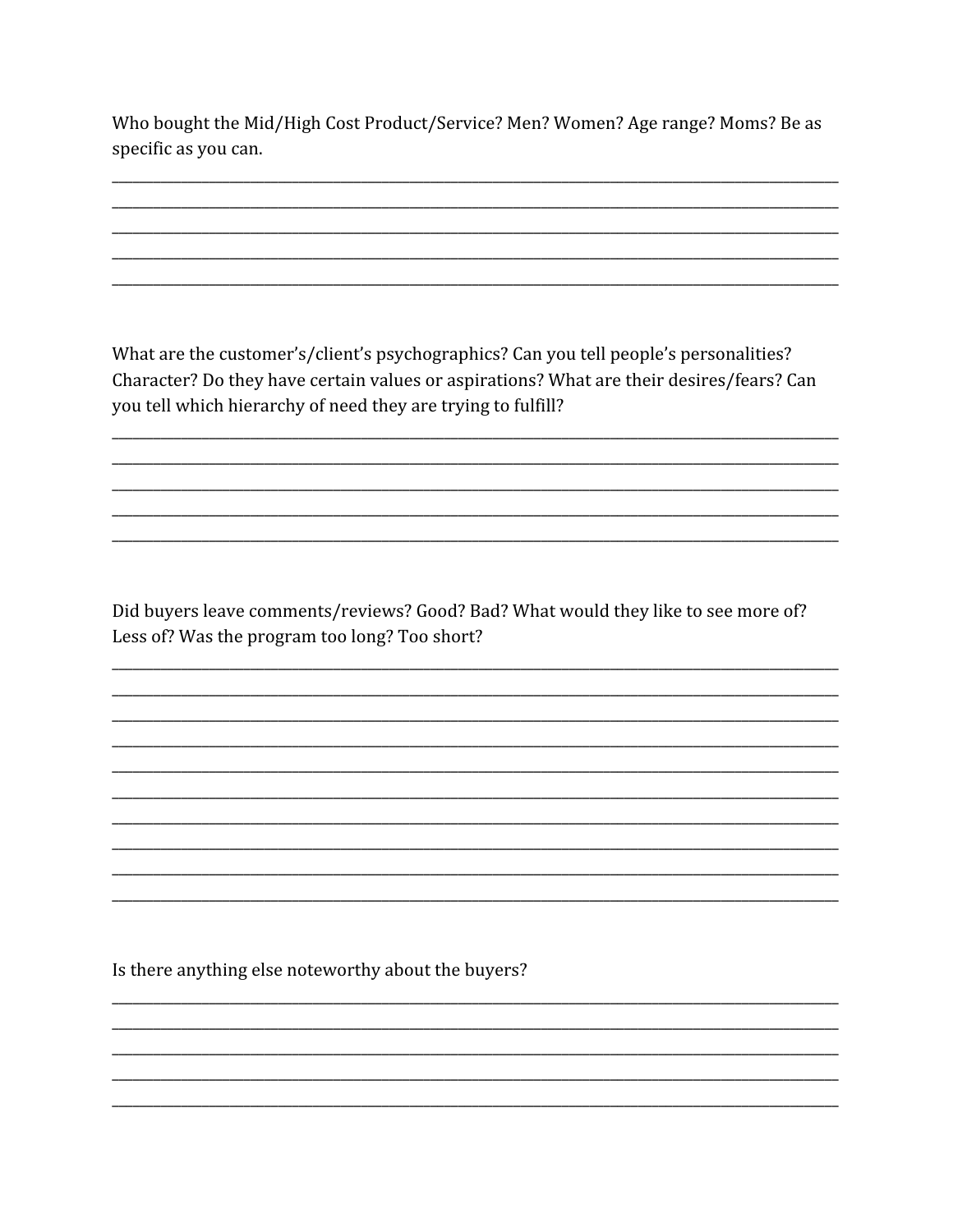Who bought the Mid/High Cost Product/Service? Men? Women? Age range? Moms? Be as specific as you can.

What are the customer's/client's psychographics? Can you tell people's personalities? Character? Do they have certain values or aspirations? What are their desires/fears? Can you tell which hierarchy of need they are trying to fulfill?

Did buyers leave comments/reviews? Good? Bad? What would they like to see more of? Less of? Was the program too long? Too short?

Is there anything else noteworthy about the buyers?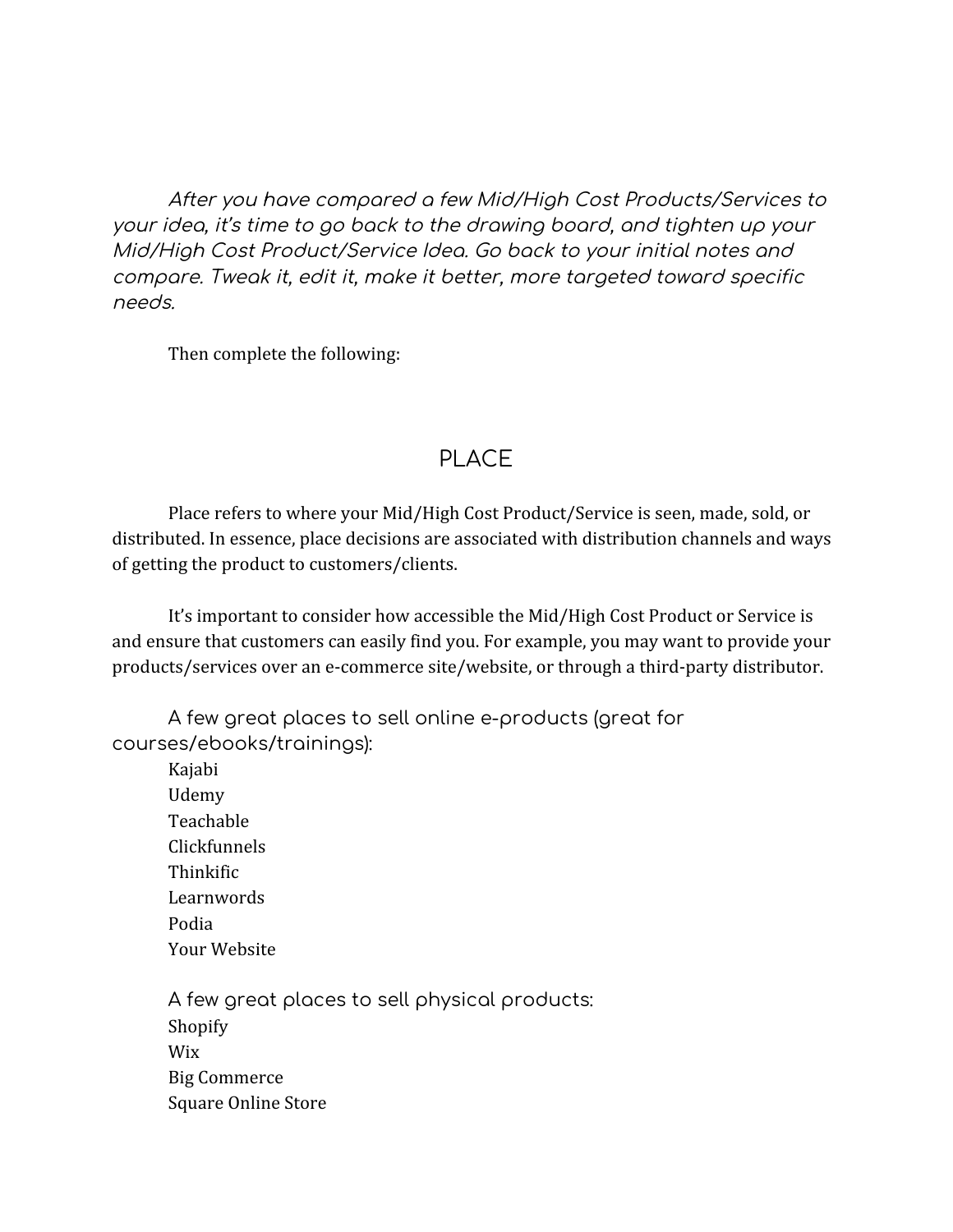After you have compared a few Mid/High Cost Products/Services to your idea, it's time to go back to the drawing board, and tighten up your Mid/High Cost Product/Service Idea. Go back to your initial notes and compare. Tweak it, edit it, make it better, more targeted toward specific needs.

Then complete the following:

## PLACE

Place refers to where your Mid/High Cost Product/Service is seen, made, sold, or distributed. In essence, place decisions are associated with distribution channels and ways of getting the product to customers/clients.

It's important to consider how accessible the Mid/High Cost Product or Service is and ensure that customers can easily find you. For example, you may want to provide your products/services over an e-commerce site/website, or through a third-party distributor.

A few great places to sell online e-products (great for courses/ebooks/trainings):

Kajabi Udemy Teachable Clickfunnels Thinkific Learnwords Podia Your Website A few great places to sell physical products:

Shopify Wix Big Commerce Square Online Store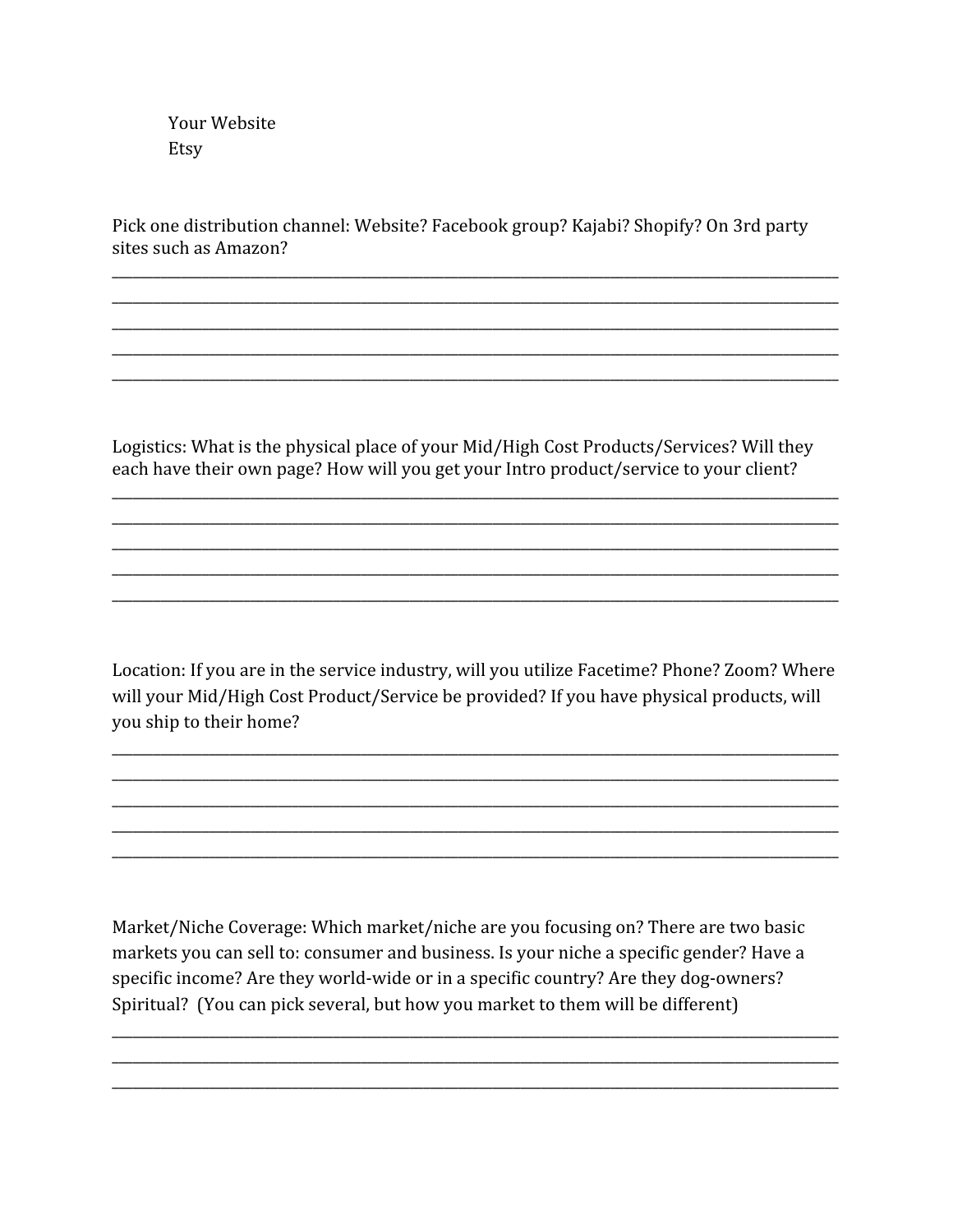Your Website Etsy

Pick one distribution channel: Website? Facebook group? Kajabi? Shopify? On 3rd party sites such as Amazon?

Logistics: What is the physical place of your Mid/High Cost Products/Services? Will they each have their own page? How will you get your Intro product/service to your client?

Location: If you are in the service industry, will you utilize Facetime? Phone? Zoom? Where will your Mid/High Cost Product/Service be provided? If you have physical products, will you ship to their home?

Market/Niche Coverage: Which market/niche are you focusing on? There are two basic markets you can sell to: consumer and business. Is your niche a specific gender? Have a specific income? Are they world-wide or in a specific country? Are they dog-owners? Spiritual? (You can pick several, but how you market to them will be different)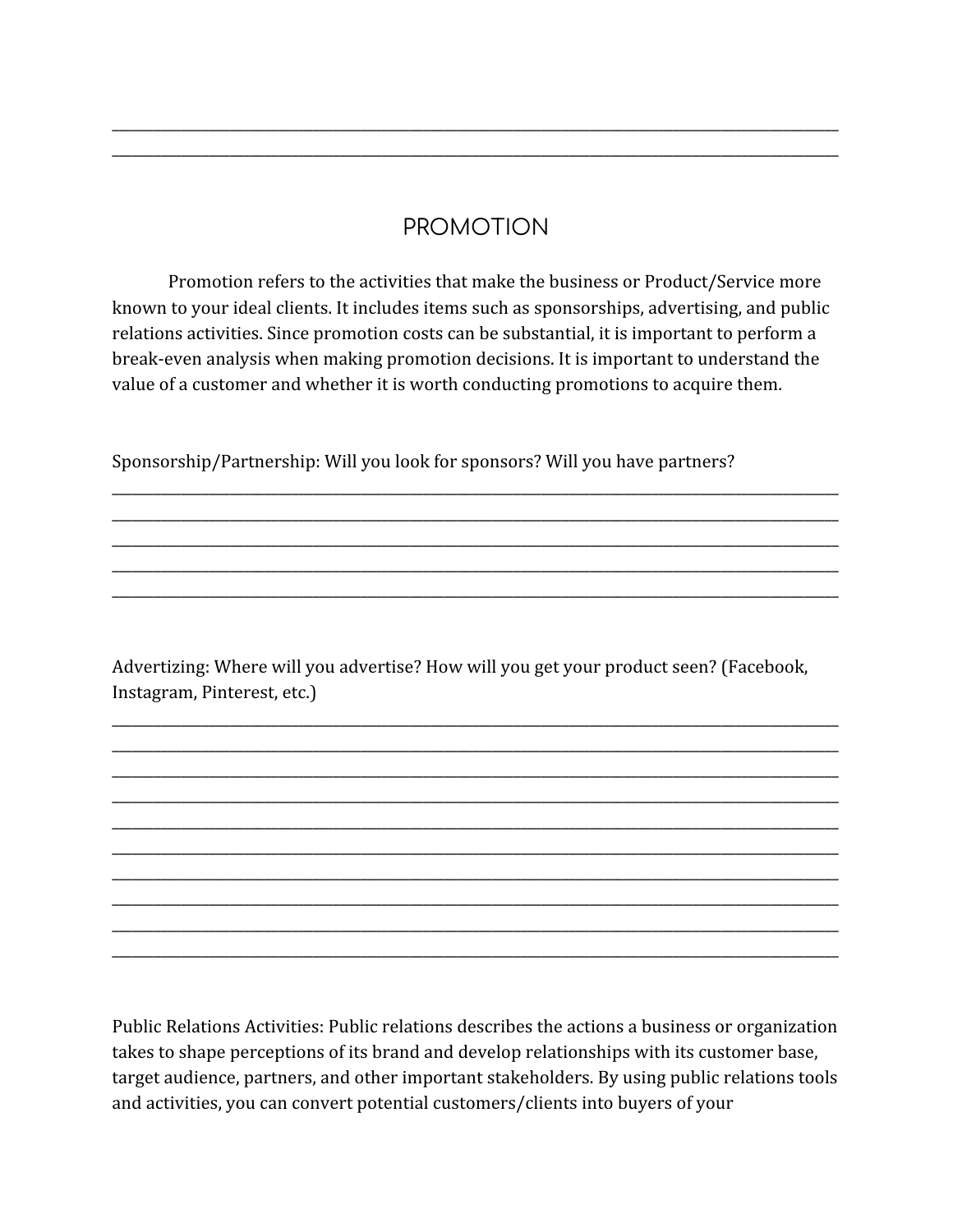# PROMOTION

\_\_\_\_\_\_\_\_\_\_\_\_\_\_\_\_\_\_\_\_\_\_\_\_\_\_\_\_\_\_\_\_\_\_\_\_\_\_\_\_\_\_\_\_\_\_\_\_\_\_\_\_\_\_\_\_\_\_\_\_\_\_\_\_\_\_\_\_\_\_\_\_\_\_\_\_\_\_\_\_\_\_\_\_\_\_\_\_\_\_\_\_\_\_\_\_\_\_\_\_\_\_\_\_\_ \_\_\_\_\_\_\_\_\_\_\_\_\_\_\_\_\_\_\_\_\_\_\_\_\_\_\_\_\_\_\_\_\_\_\_\_\_\_\_\_\_\_\_\_\_\_\_\_\_\_\_\_\_\_\_\_\_\_\_\_\_\_\_\_\_\_\_\_\_\_\_\_\_\_\_\_\_\_\_\_\_\_\_\_\_\_\_\_\_\_\_\_\_\_\_\_\_\_\_\_\_\_\_\_\_

Promotion refers to the activities that make the business or Product/Service more known to your ideal clients. It includes items such as sponsorships, advertising, and public relations activities. Since promotion costs can be substantial, it is important to perform a break-even analysis when making promotion decisions. It is important to understand the value of a customer and whether it is worth conducting promotions to acquire them.

\_\_\_\_\_\_\_\_\_\_\_\_\_\_\_\_\_\_\_\_\_\_\_\_\_\_\_\_\_\_\_\_\_\_\_\_\_\_\_\_\_\_\_\_\_\_\_\_\_\_\_\_\_\_\_\_\_\_\_\_\_\_\_\_\_\_\_\_\_\_\_\_\_\_\_\_\_\_\_\_\_\_\_\_\_\_\_\_\_\_\_\_\_\_\_\_\_\_\_\_\_\_\_\_\_ \_\_\_\_\_\_\_\_\_\_\_\_\_\_\_\_\_\_\_\_\_\_\_\_\_\_\_\_\_\_\_\_\_\_\_\_\_\_\_\_\_\_\_\_\_\_\_\_\_\_\_\_\_\_\_\_\_\_\_\_\_\_\_\_\_\_\_\_\_\_\_\_\_\_\_\_\_\_\_\_\_\_\_\_\_\_\_\_\_\_\_\_\_\_\_\_\_\_\_\_\_\_\_\_\_ \_\_\_\_\_\_\_\_\_\_\_\_\_\_\_\_\_\_\_\_\_\_\_\_\_\_\_\_\_\_\_\_\_\_\_\_\_\_\_\_\_\_\_\_\_\_\_\_\_\_\_\_\_\_\_\_\_\_\_\_\_\_\_\_\_\_\_\_\_\_\_\_\_\_\_\_\_\_\_\_\_\_\_\_\_\_\_\_\_\_\_\_\_\_\_\_\_\_\_\_\_\_\_\_\_ \_\_\_\_\_\_\_\_\_\_\_\_\_\_\_\_\_\_\_\_\_\_\_\_\_\_\_\_\_\_\_\_\_\_\_\_\_\_\_\_\_\_\_\_\_\_\_\_\_\_\_\_\_\_\_\_\_\_\_\_\_\_\_\_\_\_\_\_\_\_\_\_\_\_\_\_\_\_\_\_\_\_\_\_\_\_\_\_\_\_\_\_\_\_\_\_\_\_\_\_\_\_\_\_\_ \_\_\_\_\_\_\_\_\_\_\_\_\_\_\_\_\_\_\_\_\_\_\_\_\_\_\_\_\_\_\_\_\_\_\_\_\_\_\_\_\_\_\_\_\_\_\_\_\_\_\_\_\_\_\_\_\_\_\_\_\_\_\_\_\_\_\_\_\_\_\_\_\_\_\_\_\_\_\_\_\_\_\_\_\_\_\_\_\_\_\_\_\_\_\_\_\_\_\_\_\_\_\_\_\_

Sponsorship/Partnership: Will you look for sponsors? Will you have partners?

Advertizing: Where will you advertise? How will you get your product seen? (Facebook, Instagram, Pinterest, etc.)

\_\_\_\_\_\_\_\_\_\_\_\_\_\_\_\_\_\_\_\_\_\_\_\_\_\_\_\_\_\_\_\_\_\_\_\_\_\_\_\_\_\_\_\_\_\_\_\_\_\_\_\_\_\_\_\_\_\_\_\_\_\_\_\_\_\_\_\_\_\_\_\_\_\_\_\_\_\_\_\_\_\_\_\_\_\_\_\_\_\_\_\_\_\_\_\_\_\_\_\_\_\_\_\_\_ \_\_\_\_\_\_\_\_\_\_\_\_\_\_\_\_\_\_\_\_\_\_\_\_\_\_\_\_\_\_\_\_\_\_\_\_\_\_\_\_\_\_\_\_\_\_\_\_\_\_\_\_\_\_\_\_\_\_\_\_\_\_\_\_\_\_\_\_\_\_\_\_\_\_\_\_\_\_\_\_\_\_\_\_\_\_\_\_\_\_\_\_\_\_\_\_\_\_\_\_\_\_\_\_\_ \_\_\_\_\_\_\_\_\_\_\_\_\_\_\_\_\_\_\_\_\_\_\_\_\_\_\_\_\_\_\_\_\_\_\_\_\_\_\_\_\_\_\_\_\_\_\_\_\_\_\_\_\_\_\_\_\_\_\_\_\_\_\_\_\_\_\_\_\_\_\_\_\_\_\_\_\_\_\_\_\_\_\_\_\_\_\_\_\_\_\_\_\_\_\_\_\_\_\_\_\_\_\_\_\_ \_\_\_\_\_\_\_\_\_\_\_\_\_\_\_\_\_\_\_\_\_\_\_\_\_\_\_\_\_\_\_\_\_\_\_\_\_\_\_\_\_\_\_\_\_\_\_\_\_\_\_\_\_\_\_\_\_\_\_\_\_\_\_\_\_\_\_\_\_\_\_\_\_\_\_\_\_\_\_\_\_\_\_\_\_\_\_\_\_\_\_\_\_\_\_\_\_\_\_\_\_\_\_\_\_ \_\_\_\_\_\_\_\_\_\_\_\_\_\_\_\_\_\_\_\_\_\_\_\_\_\_\_\_\_\_\_\_\_\_\_\_\_\_\_\_\_\_\_\_\_\_\_\_\_\_\_\_\_\_\_\_\_\_\_\_\_\_\_\_\_\_\_\_\_\_\_\_\_\_\_\_\_\_\_\_\_\_\_\_\_\_\_\_\_\_\_\_\_\_\_\_\_\_\_\_\_\_\_\_\_ \_\_\_\_\_\_\_\_\_\_\_\_\_\_\_\_\_\_\_\_\_\_\_\_\_\_\_\_\_\_\_\_\_\_\_\_\_\_\_\_\_\_\_\_\_\_\_\_\_\_\_\_\_\_\_\_\_\_\_\_\_\_\_\_\_\_\_\_\_\_\_\_\_\_\_\_\_\_\_\_\_\_\_\_\_\_\_\_\_\_\_\_\_\_\_\_\_\_\_\_\_\_\_\_\_ \_\_\_\_\_\_\_\_\_\_\_\_\_\_\_\_\_\_\_\_\_\_\_\_\_\_\_\_\_\_\_\_\_\_\_\_\_\_\_\_\_\_\_\_\_\_\_\_\_\_\_\_\_\_\_\_\_\_\_\_\_\_\_\_\_\_\_\_\_\_\_\_\_\_\_\_\_\_\_\_\_\_\_\_\_\_\_\_\_\_\_\_\_\_\_\_\_\_\_\_\_\_\_\_\_ \_\_\_\_\_\_\_\_\_\_\_\_\_\_\_\_\_\_\_\_\_\_\_\_\_\_\_\_\_\_\_\_\_\_\_\_\_\_\_\_\_\_\_\_\_\_\_\_\_\_\_\_\_\_\_\_\_\_\_\_\_\_\_\_\_\_\_\_\_\_\_\_\_\_\_\_\_\_\_\_\_\_\_\_\_\_\_\_\_\_\_\_\_\_\_\_\_\_\_\_\_\_\_\_\_ \_\_\_\_\_\_\_\_\_\_\_\_\_\_\_\_\_\_\_\_\_\_\_\_\_\_\_\_\_\_\_\_\_\_\_\_\_\_\_\_\_\_\_\_\_\_\_\_\_\_\_\_\_\_\_\_\_\_\_\_\_\_\_\_\_\_\_\_\_\_\_\_\_\_\_\_\_\_\_\_\_\_\_\_\_\_\_\_\_\_\_\_\_\_\_\_\_\_\_\_\_\_\_\_\_ \_\_\_\_\_\_\_\_\_\_\_\_\_\_\_\_\_\_\_\_\_\_\_\_\_\_\_\_\_\_\_\_\_\_\_\_\_\_\_\_\_\_\_\_\_\_\_\_\_\_\_\_\_\_\_\_\_\_\_\_\_\_\_\_\_\_\_\_\_\_\_\_\_\_\_\_\_\_\_\_\_\_\_\_\_\_\_\_\_\_\_\_\_\_\_\_\_\_\_\_\_\_\_\_\_

Public Relations Activities: Public relations describes the actions a business or organization takes to shape perceptions of its brand and develop relationships with its customer base, target audience, partners, and other important stakeholders. By using public relations tools and activities, you can convert potential customers/clients into buyers of your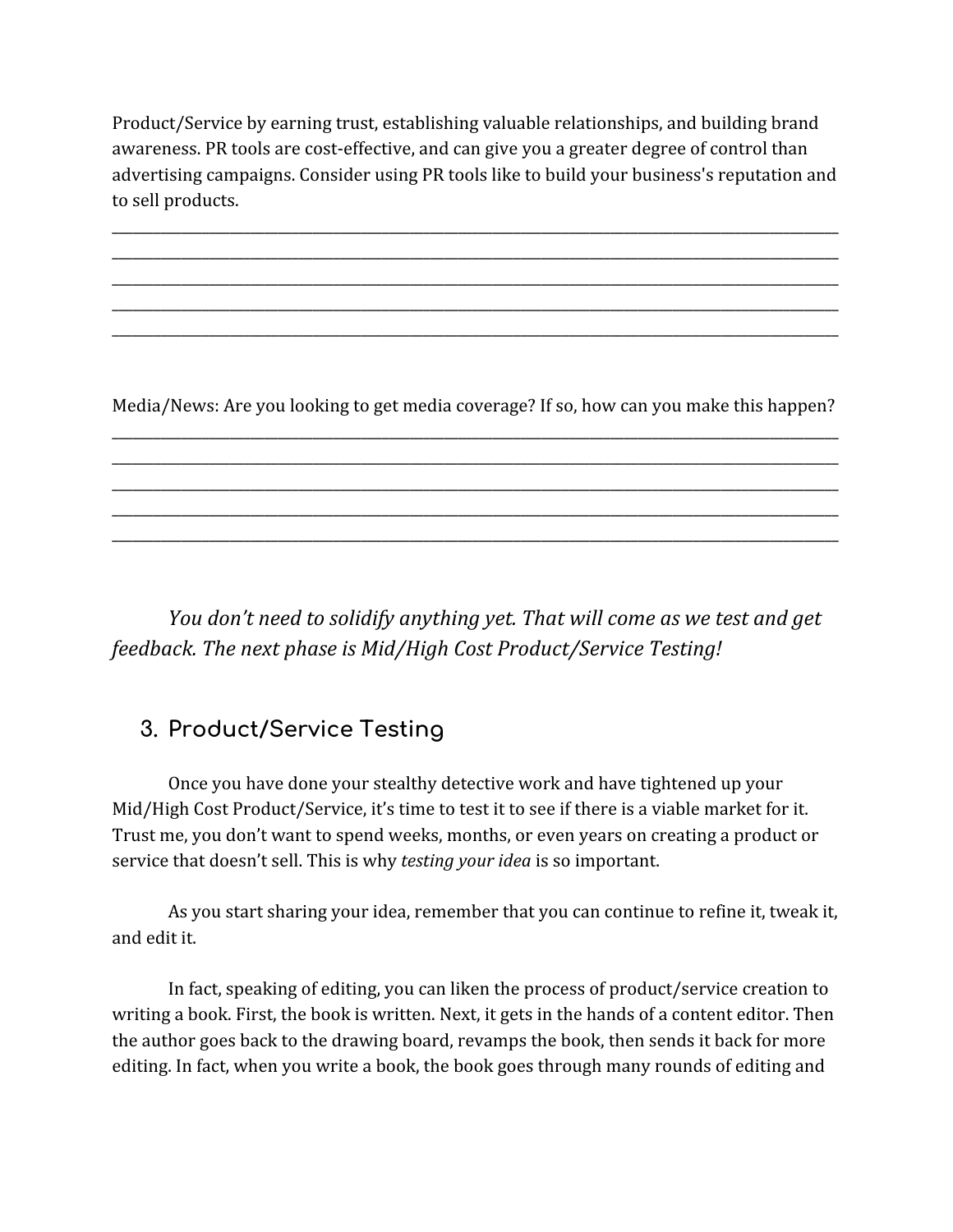Product/Service by earning trust, establishing valuable relationships, and building brand awareness. PR tools are cost-effective, and can give you a greater degree of control than advertising campaigns. Consider using PR tools like to build your business's reputation and to sell products.

\_\_\_\_\_\_\_\_\_\_\_\_\_\_\_\_\_\_\_\_\_\_\_\_\_\_\_\_\_\_\_\_\_\_\_\_\_\_\_\_\_\_\_\_\_\_\_\_\_\_\_\_\_\_\_\_\_\_\_\_\_\_\_\_\_\_\_\_\_\_\_\_\_\_\_\_\_\_\_\_\_\_\_\_\_\_\_\_\_\_\_\_\_\_\_\_\_\_\_\_\_\_\_\_\_ \_\_\_\_\_\_\_\_\_\_\_\_\_\_\_\_\_\_\_\_\_\_\_\_\_\_\_\_\_\_\_\_\_\_\_\_\_\_\_\_\_\_\_\_\_\_\_\_\_\_\_\_\_\_\_\_\_\_\_\_\_\_\_\_\_\_\_\_\_\_\_\_\_\_\_\_\_\_\_\_\_\_\_\_\_\_\_\_\_\_\_\_\_\_\_\_\_\_\_\_\_\_\_\_\_ \_\_\_\_\_\_\_\_\_\_\_\_\_\_\_\_\_\_\_\_\_\_\_\_\_\_\_\_\_\_\_\_\_\_\_\_\_\_\_\_\_\_\_\_\_\_\_\_\_\_\_\_\_\_\_\_\_\_\_\_\_\_\_\_\_\_\_\_\_\_\_\_\_\_\_\_\_\_\_\_\_\_\_\_\_\_\_\_\_\_\_\_\_\_\_\_\_\_\_\_\_\_\_\_\_ \_\_\_\_\_\_\_\_\_\_\_\_\_\_\_\_\_\_\_\_\_\_\_\_\_\_\_\_\_\_\_\_\_\_\_\_\_\_\_\_\_\_\_\_\_\_\_\_\_\_\_\_\_\_\_\_\_\_\_\_\_\_\_\_\_\_\_\_\_\_\_\_\_\_\_\_\_\_\_\_\_\_\_\_\_\_\_\_\_\_\_\_\_\_\_\_\_\_\_\_\_\_\_\_\_ \_\_\_\_\_\_\_\_\_\_\_\_\_\_\_\_\_\_\_\_\_\_\_\_\_\_\_\_\_\_\_\_\_\_\_\_\_\_\_\_\_\_\_\_\_\_\_\_\_\_\_\_\_\_\_\_\_\_\_\_\_\_\_\_\_\_\_\_\_\_\_\_\_\_\_\_\_\_\_\_\_\_\_\_\_\_\_\_\_\_\_\_\_\_\_\_\_\_\_\_\_\_\_\_\_

Media/News: Are you looking to get media coverage? If so, how can you make this happen? \_\_\_\_\_\_\_\_\_\_\_\_\_\_\_\_\_\_\_\_\_\_\_\_\_\_\_\_\_\_\_\_\_\_\_\_\_\_\_\_\_\_\_\_\_\_\_\_\_\_\_\_\_\_\_\_\_\_\_\_\_\_\_\_\_\_\_\_\_\_\_\_\_\_\_\_\_\_\_\_\_\_\_\_\_\_\_\_\_\_\_\_\_\_\_\_\_\_\_\_\_\_\_\_\_

\_\_\_\_\_\_\_\_\_\_\_\_\_\_\_\_\_\_\_\_\_\_\_\_\_\_\_\_\_\_\_\_\_\_\_\_\_\_\_\_\_\_\_\_\_\_\_\_\_\_\_\_\_\_\_\_\_\_\_\_\_\_\_\_\_\_\_\_\_\_\_\_\_\_\_\_\_\_\_\_\_\_\_\_\_\_\_\_\_\_\_\_\_\_\_\_\_\_\_\_\_\_\_\_\_ \_\_\_\_\_\_\_\_\_\_\_\_\_\_\_\_\_\_\_\_\_\_\_\_\_\_\_\_\_\_\_\_\_\_\_\_\_\_\_\_\_\_\_\_\_\_\_\_\_\_\_\_\_\_\_\_\_\_\_\_\_\_\_\_\_\_\_\_\_\_\_\_\_\_\_\_\_\_\_\_\_\_\_\_\_\_\_\_\_\_\_\_\_\_\_\_\_\_\_\_\_\_\_\_\_ \_\_\_\_\_\_\_\_\_\_\_\_\_\_\_\_\_\_\_\_\_\_\_\_\_\_\_\_\_\_\_\_\_\_\_\_\_\_\_\_\_\_\_\_\_\_\_\_\_\_\_\_\_\_\_\_\_\_\_\_\_\_\_\_\_\_\_\_\_\_\_\_\_\_\_\_\_\_\_\_\_\_\_\_\_\_\_\_\_\_\_\_\_\_\_\_\_\_\_\_\_\_\_\_\_ \_\_\_\_\_\_\_\_\_\_\_\_\_\_\_\_\_\_\_\_\_\_\_\_\_\_\_\_\_\_\_\_\_\_\_\_\_\_\_\_\_\_\_\_\_\_\_\_\_\_\_\_\_\_\_\_\_\_\_\_\_\_\_\_\_\_\_\_\_\_\_\_\_\_\_\_\_\_\_\_\_\_\_\_\_\_\_\_\_\_\_\_\_\_\_\_\_\_\_\_\_\_\_\_\_

*You don't need to solidify anything yet. That will come as we test and get feedback. The next phase is Mid/High Cost Product/Service Testing!*

## **3. Product/Service Testing**

Once you have done your stealthy detective work and have tightened up your Mid/High Cost Product/Service, it's time to test it to see if there is a viable market for it. Trust me, you don't want to spend weeks, months, or even years on creating a product or service that doesn't sell. This is why *testing your idea* is so important.

As you start sharing your idea, remember that you can continue to refine it, tweak it, and edit it.

In fact, speaking of editing, you can liken the process of product/service creation to writing a book. First, the book is written. Next, it gets in the hands of a content editor. Then the author goes back to the drawing board, revamps the book, then sends it back for more editing. In fact, when you write a book, the book goes through many rounds of editing and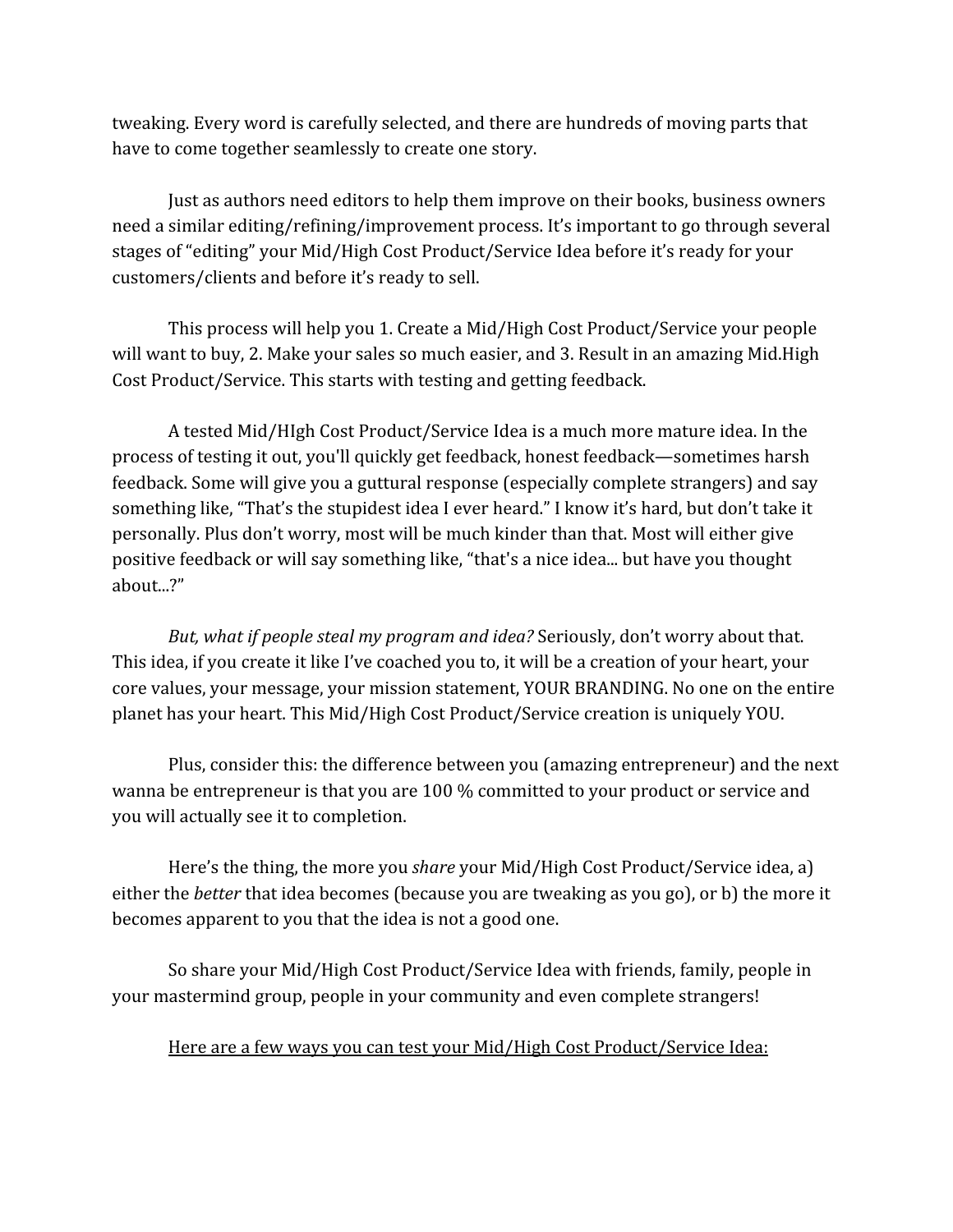tweaking. Every word is carefully selected, and there are hundreds of moving parts that have to come together seamlessly to create one story.

Just as authors need editors to help them improve on their books, business owners need a similar editing/refining/improvement process. It's important to go through several stages of "editing" your Mid/High Cost Product/Service Idea before it's ready for your customers/clients and before it's ready to sell.

This process will help you 1. Create a Mid/High Cost Product/Service your people will want to buy, 2. Make your sales so much easier, and 3. Result in an amazing Mid.High Cost Product/Service. This starts with testing and getting feedback.

A tested Mid/HIgh Cost Product/Service Idea is a much more mature idea. In the process of testing it out, you'll quickly get feedback, honest feedback—sometimes harsh feedback. Some will give you a guttural response (especially complete strangers) and say something like, "That's the stupidest idea I ever heard." I know it's hard, but don't take it personally. Plus don't worry, most will be much kinder than that. Most will either give positive feedback or will say something like, "that's a nice idea... but have you thought about...?"

*But, what if people steal my program and idea?* Seriously, don't worry about that. This idea, if you create it like I've coached you to, it will be a creation of your heart, your core values, your message, your mission statement, YOUR BRANDING. No one on the entire planet has your heart. This Mid/High Cost Product/Service creation is uniquely YOU.

Plus, consider this: the difference between you (amazing entrepreneur) and the next wanna be entrepreneur is that you are 100 % committed to your product or service and you will actually see it to completion.

Here's the thing, the more you *share* your Mid/High Cost Product/Service idea, a) either the *better* that idea becomes (because you are tweaking as you go), or b) the more it becomes apparent to you that the idea is not a good one.

So share your Mid/High Cost Product/Service Idea with friends, family, people in your mastermind group, people in your community and even complete strangers!

## Here are a few ways you can test your Mid/High Cost Product/Service Idea: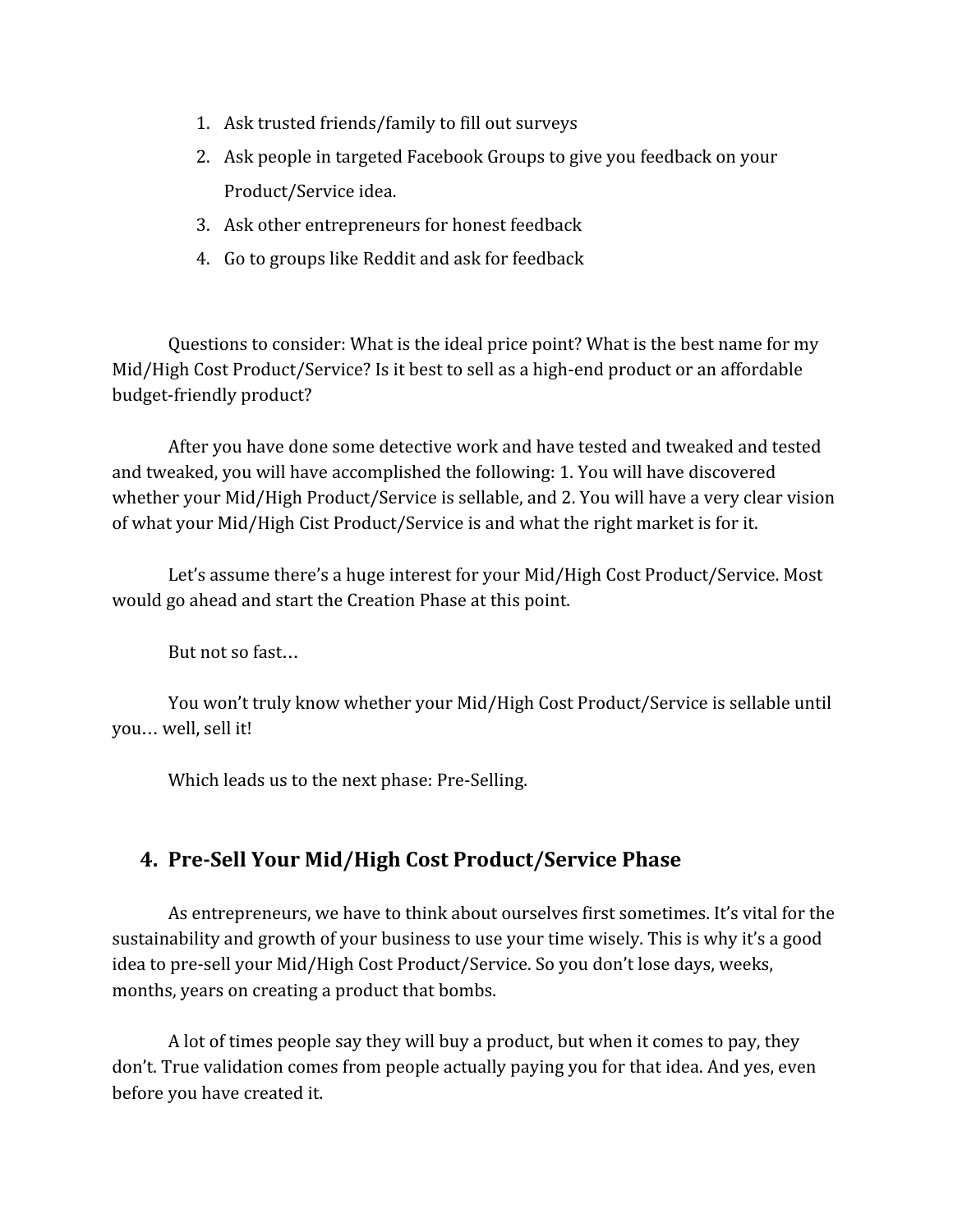- 1. Ask trusted friends/family to fill out surveys
- 2. Ask people in targeted Facebook Groups to give you feedback on your Product/Service idea.
- 3. Ask other entrepreneurs for honest feedback
- 4. Go to groups like Reddit and ask for feedback

Questions to consider: What is the ideal price point? What is the best name for my Mid/High Cost Product/Service? Is it best to sell as a high-end product or an affordable budget-friendly product?

After you have done some detective work and have tested and tweaked and tested and tweaked, you will have accomplished the following: 1. You will have discovered whether your Mid/High Product/Service is sellable, and 2. You will have a very clear vision of what your Mid/High Cist Product/Service is and what the right market is for it.

Let's assume there's a huge interest for your Mid/High Cost Product/Service. Most would go ahead and start the Creation Phase at this point.

But not so fast…

You won't truly know whether your Mid/High Cost Product/Service is sellable until you… well, sell it!

Which leads us to the next phase: Pre-Selling.

## **4. Pre-Sell Your Mid/High Cost Product/Service Phase**

As entrepreneurs, we have to think about ourselves first sometimes. It's vital for the sustainability and growth of your business to use your time wisely. This is why it's a good idea to pre-sell your Mid/High Cost Product/Service. So you don't lose days, weeks, months, years on creating a product that bombs.

A lot of times people say they will buy a product, but when it comes to pay, they don't. True validation comes from people actually paying you for that idea. And yes, even before you have created it.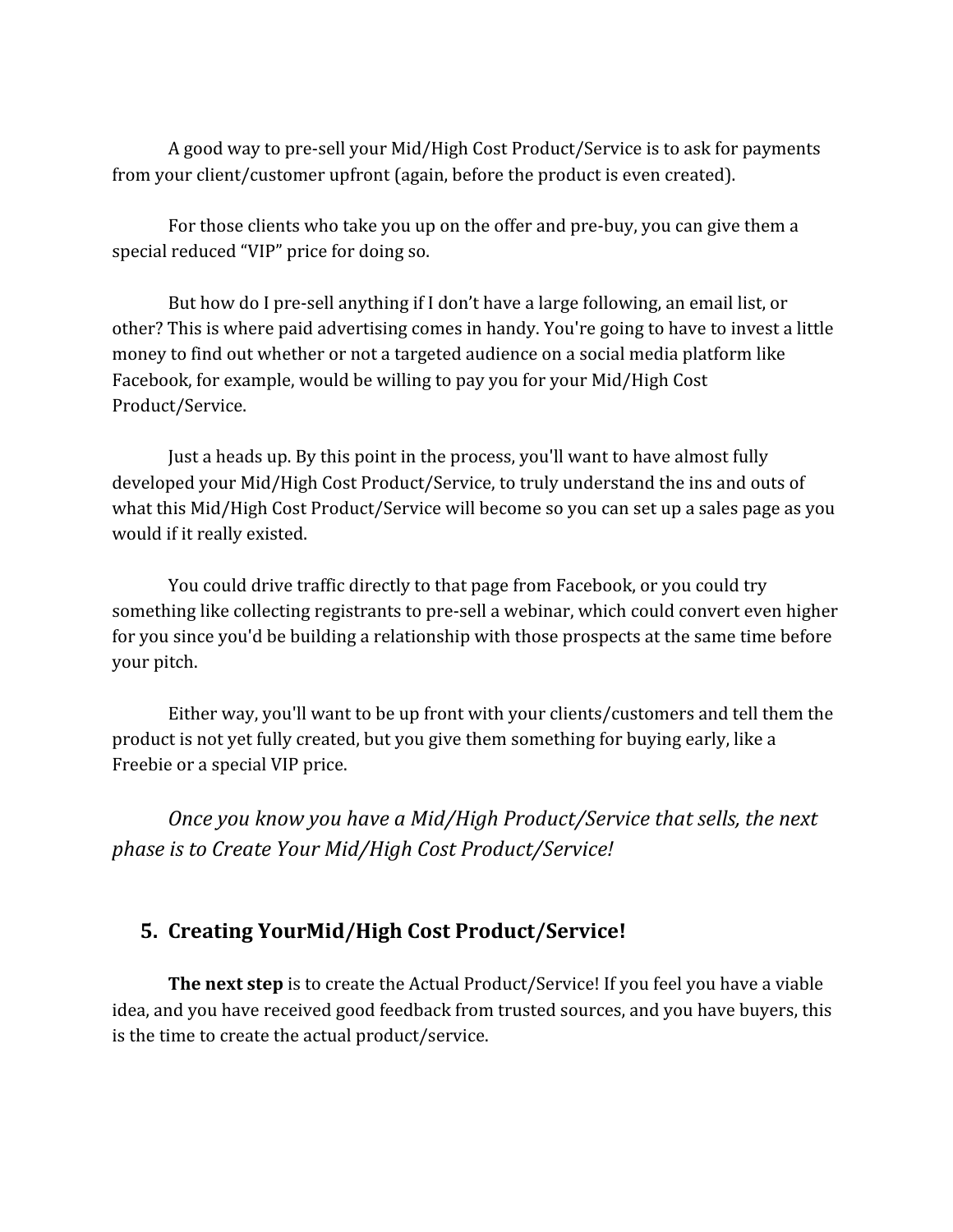A good way to pre-sell your Mid/High Cost Product/Service is to ask for payments from your client/customer upfront (again, before the product is even created).

For those clients who take you up on the offer and pre-buy, you can give them a special reduced "VIP" price for doing so.

But how do I pre-sell anything if I don't have a large following, an email list, or other? This is where paid advertising comes in handy. You're going to have to invest a little money to find out whether or not a targeted audience on a social media platform like Facebook, for example, would be willing to pay you for your Mid/High Cost Product/Service.

Just a heads up. By this point in the process, you'll want to have almost fully developed your Mid/High Cost Product/Service, to truly understand the ins and outs of what this Mid/High Cost Product/Service will become so you can set up a sales page as you would if it really existed.

You could drive traffic directly to that page from Facebook, or you could try something like collecting registrants to pre-sell a webinar, which could convert even higher for you since you'd be building a relationship with those prospects at the same time before your pitch.

Either way, you'll want to be up front with your clients/customers and tell them the product is not yet fully created, but you give them something for buying early, like a Freebie or a special VIP price.

*Once you know you have a Mid/High Product/Service that sells, the next phase is to Create Your Mid/High Cost Product/Service!*

## **5. Creating YourMid/High Cost Product/Service!**

**The next step** is to create the Actual Product/Service! If you feel you have a viable idea, and you have received good feedback from trusted sources, and you have buyers, this is the time to create the actual product/service.